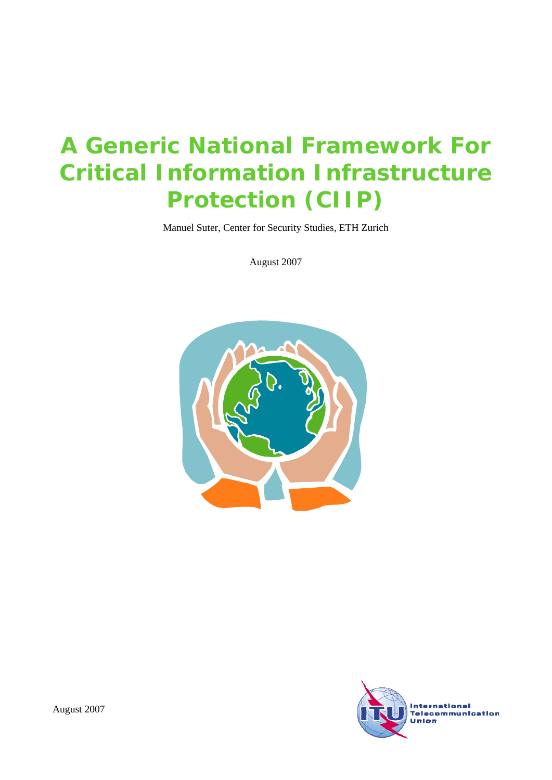# **A Generic National Framework For Critical Information Infrastructure Protection (CIIP)**

Manuel Suter, Center for Security Studies, ETH Zurich

August 2007



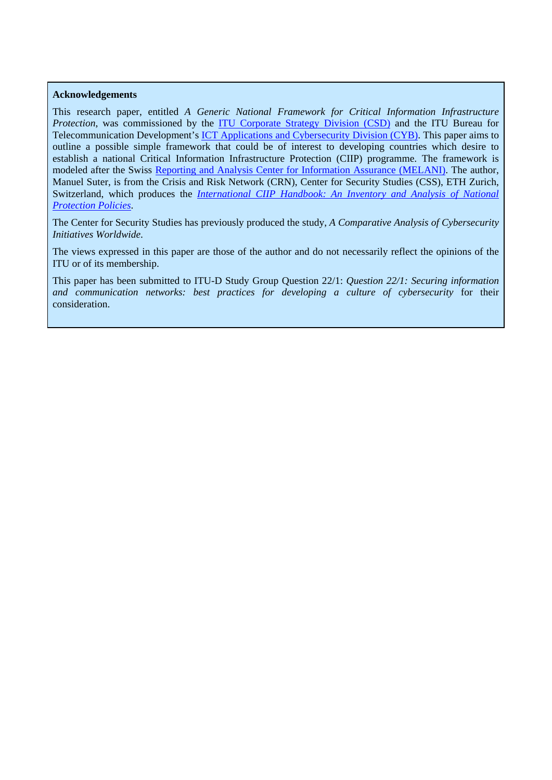#### **Acknowledgements**

This research paper, entitled *A Generic National Framework for Critical Information Infrastructure Protection*, was commissioned by the **ITU** Corporate Strategy Division (CSD) and the ITU Bureau for Telecommunication Development's [ICT Applications and Cybersecurity Division \(CYB\).](http://www.itu.int/itu-d/cyb/) This paper aims to outline a possible simple framework that could be of interest to developing countries which desire to establish a national Critical Information Infrastructure Protection (CIIP) programme. The framework is modeled after the Swiss [Reporting and Analysis Center for Information Assurance \(MELANI\).](http://www.melani.admin.ch/index.html?lang=en) The author, Manuel Suter, is from the Crisis and Risk Network (CRN), Center for Security Studies (CSS), ETH Zurich, Switzerland, which produces the *[International CIIP Handbook: An Inventory and Analysis of National](http://www.crn.ethz.ch/publications/crn_team/detail.cfm?id=250)  [Protection Policies](http://www.crn.ethz.ch/publications/crn_team/detail.cfm?id=250)*.

The Center for Security Studies has previously produced the study, *[A Comparative Analysis of Cybersecurity](http://www.itu.int/osg/spu/cybersecurity/docs/Background_Paper_Comparative_Analysis_Cybersecurity_Initiatives_Worldwide.pdf)  [Initiatives Worldwide](http://www.itu.int/osg/spu/cybersecurity/docs/Background_Paper_Comparative_Analysis_Cybersecurity_Initiatives_Worldwide.pdf)*.

The views expressed in this paper are those of the author and do not necessarily reflect the opinions of the ITU or of its membership.

This paper has been submitted to ITU-D Study Group Question 22/1: *Question 22/1: Securing information and communication networks: best practices for developing a culture of cybersecurity* for their consideration.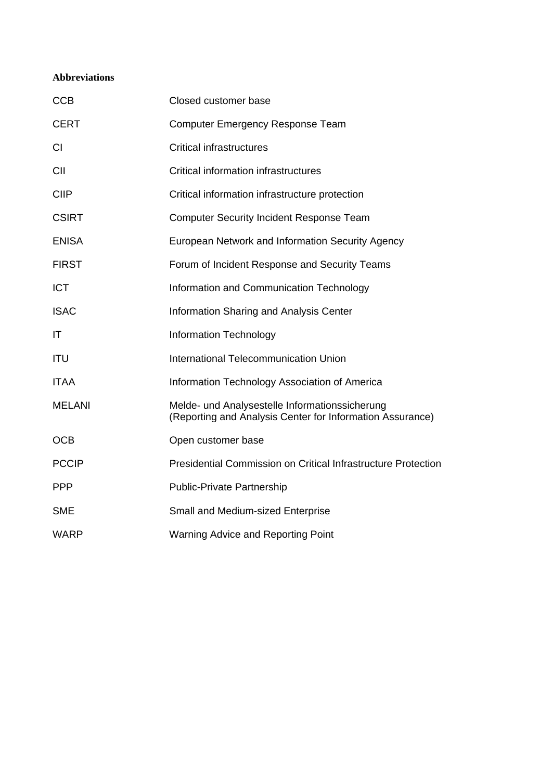## **Abbreviations**

| <b>CCB</b>    | Closed customer base                                                                                        |
|---------------|-------------------------------------------------------------------------------------------------------------|
| <b>CERT</b>   | <b>Computer Emergency Response Team</b>                                                                     |
| <b>CI</b>     | <b>Critical infrastructures</b>                                                                             |
| CII           | <b>Critical information infrastructures</b>                                                                 |
| <b>CIIP</b>   | Critical information infrastructure protection                                                              |
| <b>CSIRT</b>  | <b>Computer Security Incident Response Team</b>                                                             |
| <b>ENISA</b>  | European Network and Information Security Agency                                                            |
| <b>FIRST</b>  | Forum of Incident Response and Security Teams                                                               |
| <b>ICT</b>    | Information and Communication Technology                                                                    |
| <b>ISAC</b>   | Information Sharing and Analysis Center                                                                     |
| IT            | <b>Information Technology</b>                                                                               |
| <b>ITU</b>    | International Telecommunication Union                                                                       |
| <b>ITAA</b>   | Information Technology Association of America                                                               |
| <b>MELANI</b> | Melde- und Analysestelle Informationssicherung<br>(Reporting and Analysis Center for Information Assurance) |
| <b>OCB</b>    | Open customer base                                                                                          |
| <b>PCCIP</b>  | <b>Presidential Commission on Critical Infrastructure Protection</b>                                        |
| <b>PPP</b>    | <b>Public-Private Partnership</b>                                                                           |
| <b>SME</b>    | Small and Medium-sized Enterprise                                                                           |
| <b>WARP</b>   | Warning Advice and Reporting Point                                                                          |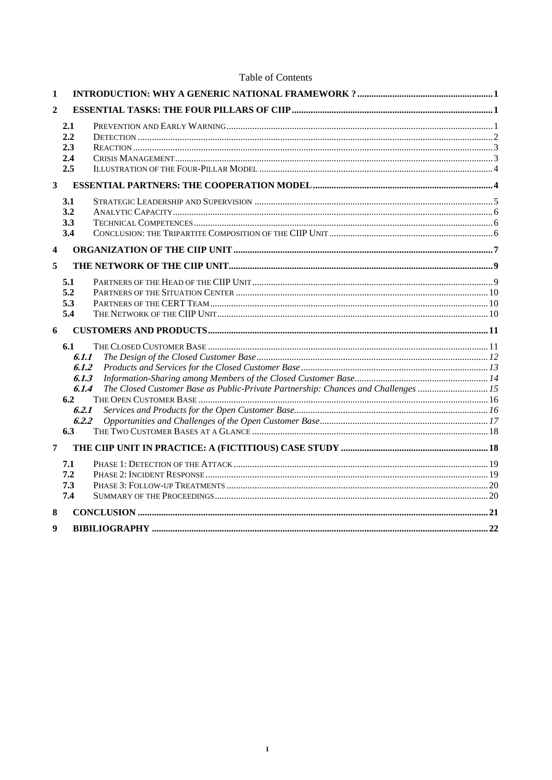Table of Contents

| 1            |                                                                                                                                                               |  |
|--------------|---------------------------------------------------------------------------------------------------------------------------------------------------------------|--|
| $\mathbf{2}$ |                                                                                                                                                               |  |
|              | 2.1<br>2.2<br>2.3<br>2.4<br>2.5                                                                                                                               |  |
| 3            |                                                                                                                                                               |  |
|              | 3.1<br>3.2<br>3.3<br>3.4                                                                                                                                      |  |
| 4            |                                                                                                                                                               |  |
| 5            |                                                                                                                                                               |  |
|              | 5.1<br>5.2<br>5.3<br>5.4                                                                                                                                      |  |
| 6            |                                                                                                                                                               |  |
|              | 6.1<br>6.1.1<br>6.1.2<br>6.1.3<br>The Closed Customer Base as Public-Private Partnership: Chances and Challenges  15<br>6.1.4<br>6.2<br>6.2.1<br>6.2.2<br>6.3 |  |
| 7            |                                                                                                                                                               |  |
|              | 7.1<br>7.2<br>7.3<br>7.4                                                                                                                                      |  |
| 8            |                                                                                                                                                               |  |
| 9            |                                                                                                                                                               |  |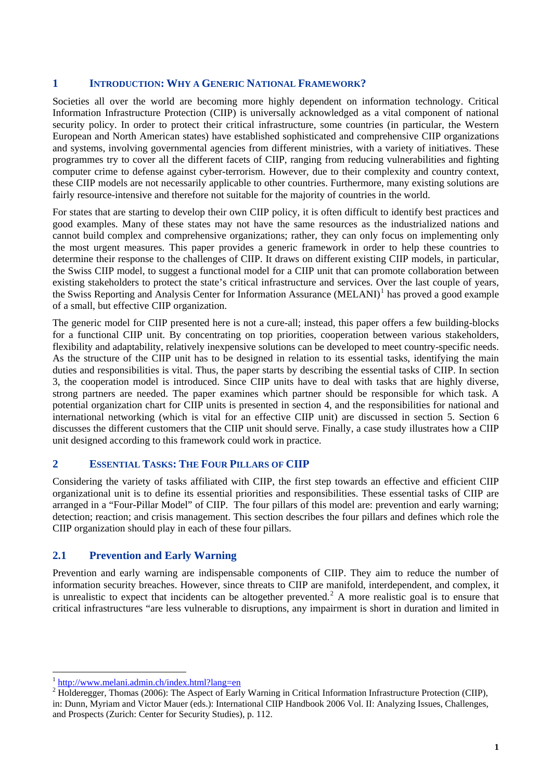## <span id="page-6-0"></span>**1 INTRODUCTION: WHY A GENERIC NATIONAL FRAMEWORK?**

Societies all over the world are becoming more highly dependent on information technology. Critical Information Infrastructure Protection (CIIP) is universally acknowledged as a vital component of national security policy. In order to protect their critical infrastructure, some countries (in particular, the Western European and North American states) have established sophisticated and comprehensive CIIP organizations and systems, involving governmental agencies from different ministries, with a variety of initiatives. These programmes try to cover all the different facets of CIIP, ranging from reducing vulnerabilities and fighting computer crime to defense against cyber-terrorism. However, due to their complexity and country context, these CIIP models are not necessarily applicable to other countries. Furthermore, many existing solutions are fairly resource-intensive and therefore not suitable for the majority of countries in the world.

For states that are starting to develop their own CIIP policy, it is often difficult to identify best practices and good examples. Many of these states may not have the same resources as the industrialized nations and cannot build complex and comprehensive organizations; rather, they can only focus on implementing only the most urgent measures. This paper provides a generic framework in order to help these countries to determine their response to the challenges of CIIP. It draws on different existing CIIP models, in particular, the Swiss CIIP model, to suggest a functional model for a CIIP unit that can promote collaboration between existing stakeholders to protect the state's critical infrastructure and services. Over the last couple of years, the Swiss Reporting and Analysis Center for Information Assurance (MELANI)<sup>[1](#page-6-1)</sup> has proved a good example of a small, but effective CIIP organization.

The generic model for CIIP presented here is not a cure-all; instead, this paper offers a few building-blocks for a functional CIIP unit. By concentrating on top priorities, cooperation between various stakeholders, flexibility and adaptability, relatively inexpensive solutions can be developed to meet country-specific needs. As the structure of the CIIP unit has to be designed in relation to its essential tasks, identifying the main duties and responsibilities is vital. Thus, the paper starts by describing the essential tasks of CIIP. In section 3, the cooperation model is introduced. Since CIIP units have to deal with tasks that are highly diverse, strong partners are needed. The paper examines which partner should be responsible for which task. A potential organization chart for CIIP units is presented in section 4, and the responsibilities for national and international networking (which is vital for an effective CIIP unit) are discussed in section 5. Section 6 discusses the different customers that the CIIP unit should serve. Finally, a case study illustrates how a CIIP unit designed according to this framework could work in practice.

## **2 ESSENTIAL TASKS: THE FOUR PILLARS OF CIIP**

Considering the variety of tasks affiliated with CIIP, the first step towards an effective and efficient CIIP organizational unit is to define its essential priorities and responsibilities. These essential tasks of CIIP are arranged in a "Four-Pillar Model" of CIIP. The four pillars of this model are: prevention and early warning; detection; reaction; and crisis management. This section describes the four pillars and defines which role the CIIP organization should play in each of these four pillars.

## **2.1 Prevention and Early Warning**

Prevention and early warning are indispensable components of CIIP. They aim to reduce the number of information security breaches. However, since threats to CIIP are manifold, interdependent, and complex, it is unrealistic to expect that incidents can be altogether prevented.<sup>[2](#page-6-2)</sup> A more realistic goal is to ensure that critical infrastructures "are less vulnerable to disruptions, any impairment is short in duration and limited in

<span id="page-6-1"></span> $1 \frac{http://www.melani.admin.ch/index.html?lang=en}{}$ 

<span id="page-6-2"></span> $^{2}$  Holderegger, Thomas (2006): The Aspect of Early Warning in Critical Information Infrastructure Protection (CIIP), in: Dunn, Myriam and Victor Mauer (eds.): International CIIP Handbook 2006 Vol. II: Analyzing Issues, Challenges, and Prospects (Zurich: Center for Security Studies), p. 112.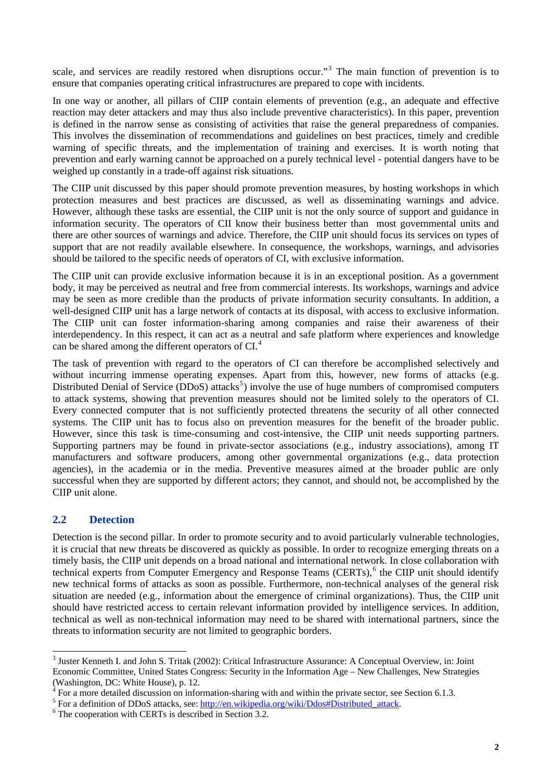<span id="page-7-0"></span>scale, and services are readily restored when disruptions occur."<sup>[3](#page-7-1)</sup> The main function of prevention is to ensure that companies operating critical infrastructures are prepared to cope with incidents.

In one way or another, all pillars of CIIP contain elements of prevention (e.g., an adequate and effective reaction may deter attackers and may thus also include preventive characteristics). In this paper, prevention is defined in the narrow sense as consisting of activities that raise the general preparedness of companies. This involves the dissemination of recommendations and guidelines on best practices, timely and credible warning of specific threats, and the implementation of training and exercises. It is worth noting that prevention and early warning cannot be approached on a purely technical level - potential dangers have to be weighed up constantly in a trade-off against risk situations.

The CIIP unit discussed by this paper should promote prevention measures, by hosting workshops in which protection measures and best practices are discussed, as well as disseminating warnings and advice. However, although these tasks are essential, the CIIP unit is not the only source of support and guidance in information security. The operators of CII know their business better than most governmental units and there are other sources of warnings and advice. Therefore, the CIIP unit should focus its services on types of support that are not readily available elsewhere. In consequence, the workshops, warnings, and advisories should be tailored to the specific needs of operators of CI, with exclusive information.

The CIIP unit can provide exclusive information because it is in an exceptional position. As a government body, it may be perceived as neutral and free from commercial interests. Its workshops, warnings and advice may be seen as more credible than the products of private information security consultants. In addition, a well-designed CIIP unit has a large network of contacts at its disposal, with access to exclusive information. The CIIP unit can foster information-sharing among companies and raise their awareness of their interdependency. In this respect, it can act as a neutral and safe platform where experiences and knowledge can be shared among the different operators of  $CI<sup>4</sup>$  $CI<sup>4</sup>$  $CI<sup>4</sup>$ .

The task of prevention with regard to the operators of CI can therefore be accomplished selectively and without incurring immense operating expenses. Apart from this, however, new forms of attacks (e.g. Distributed Denial of Service  $(DDoS)$  attacks<sup>[5](#page-7-3)</sup>) involve the use of huge numbers of compromised computers to attack systems, showing that prevention measures should not be limited solely to the operators of CI. Every connected computer that is not sufficiently protected threatens the security of all other connected systems. The CIIP unit has to focus also on prevention measures for the benefit of the broader public. However, since this task is time-consuming and cost-intensive, the CIIP unit needs supporting partners. Supporting partners may be found in private-sector associations (e.g., industry associations), among IT manufacturers and software producers, among other governmental organizations (e.g., data protection agencies), in the academia or in the media. Preventive measures aimed at the broader public are only successful when they are supported by different actors; they cannot, and should not, be accomplished by the CIIP unit alone.

## **2.2 Detection**

Detection is the second pillar. In order to promote security and to avoid particularly vulnerable technologies, it is crucial that new threats be discovered as quickly as possible. In order to recognize emerging threats on a timely basis, the CIIP unit depends on a broad national and international network. In close collaboration with technical experts from Computer Emergency and Response Teams (CERTs),<sup>[6](#page-7-4)</sup> the CIIP unit should identify new technical forms of attacks as soon as possible. Furthermore, non-technical analyses of the general risk situation are needed (e.g., information about the emergence of criminal organizations). Thus, the CIIP unit should have restricted access to certain relevant information provided by intelligence services. In addition, technical as well as non-technical information may need to be shared with international partners, since the threats to information security are not limited to geographic borders.

<span id="page-7-1"></span><sup>&</sup>lt;sup>3</sup> Juster Kenneth I. and John S. Tritak (2002): Critical Infrastructure Assurance: A Conceptual Overview, in: Joint Economic Committee, United States Congress: Security in the Information Age – New Challenges, New Strategies

<sup>(</sup>Washington, DC: White House), p. 12.<br>  ${}^{4}$  For a more detailed discussion on information-sharing with and within the private sector, see Section 6.1.3.<br>
<sup>5</sup> For a definition of DDeS stracks, see kttp://op.wikipedia.org

<span id="page-7-3"></span><span id="page-7-2"></span> $<sup>5</sup>$  For a definition of DDoS attacks, see: [http://en.wikipedia.org/wiki/Ddos#Distributed\\_attack.](http://en.wikipedia.org/wiki/Ddos#Distributed_attack)</sup>

<span id="page-7-4"></span> $6$  The cooperation with CERTs is described in Section 3.2.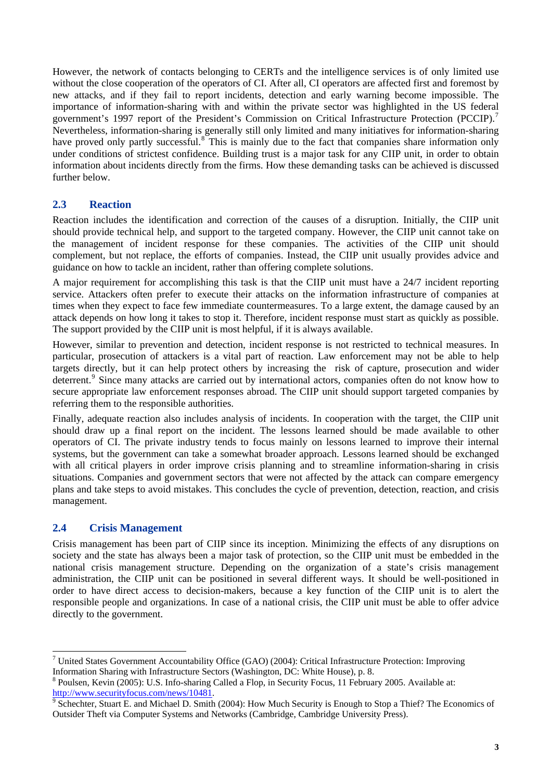<span id="page-8-0"></span>However, the network of contacts belonging to CERTs and the intelligence services is of only limited use without the close cooperation of the operators of CI. After all, CI operators are affected first and foremost by new attacks, and if they fail to report incidents, detection and early warning become impossible. The importance of information-sharing with and within the private sector was highlighted in the US federal government's 199[7](#page-8-1) report of the President's Commission on Critical Infrastructure Protection (PCCIP).<sup>7</sup> Nevertheless, information-sharing is generally still only limited and many initiatives for information-sharing have proved only partly successful.<sup>[8](#page-8-2)</sup> This is mainly due to the fact that companies share information only under conditions of strictest confidence. Building trust is a major task for any CIIP unit, in order to obtain information about incidents directly from the firms. How these demanding tasks can be achieved is discussed further below.

## **2.3 Reaction**

Reaction includes the identification and correction of the causes of a disruption. Initially, the CIIP unit should provide technical help, and support to the targeted company. However, the CIIP unit cannot take on the management of incident response for these companies. The activities of the CIIP unit should complement, but not replace, the efforts of companies. Instead, the CIIP unit usually provides advice and guidance on how to tackle an incident, rather than offering complete solutions.

A major requirement for accomplishing this task is that the CIIP unit must have a 24/7 incident reporting service. Attackers often prefer to execute their attacks on the information infrastructure of companies at times when they expect to face few immediate countermeasures. To a large extent, the damage caused by an attack depends on how long it takes to stop it. Therefore, incident response must start as quickly as possible. The support provided by the CIIP unit is most helpful, if it is always available.

However, similar to prevention and detection, incident response is not restricted to technical measures. In particular, prosecution of attackers is a vital part of reaction. Law enforcement may not be able to help targets directly, but it can help protect others by increasing the risk of capture, prosecution and wider deterrent.<sup>[9](#page-8-3)</sup> Since many attacks are carried out by international actors, companies often do not know how to secure appropriate law enforcement responses abroad. The CIIP unit should support targeted companies by referring them to the responsible authorities.

Finally, adequate reaction also includes analysis of incidents. In cooperation with the target, the CIIP unit should draw up a final report on the incident. The lessons learned should be made available to other operators of CI. The private industry tends to focus mainly on lessons learned to improve their internal systems, but the government can take a somewhat broader approach. Lessons learned should be exchanged with all critical players in order improve crisis planning and to streamline information-sharing in crisis situations. Companies and government sectors that were not affected by the attack can compare emergency plans and take steps to avoid mistakes. This concludes the cycle of prevention, detection, reaction, and crisis management.

## **2.4 Crisis Management**

Crisis management has been part of CIIP since its inception. Minimizing the effects of any disruptions on society and the state has always been a major task of protection, so the CIIP unit must be embedded in the national crisis management structure. Depending on the organization of a state's crisis management administration, the CIIP unit can be positioned in several different ways. It should be well-positioned in order to have direct access to decision-makers, because a key function of the CIIP unit is to alert the responsible people and organizations. In case of a national crisis, the CIIP unit must be able to offer advice directly to the government.

<span id="page-8-1"></span> 7 United States Government Accountability Office (GAO) (2004): Critical Infrastructure Protection: Improving Information Sharing with Infrastructure Sectors (Washington, DC: White House), p. 8.

<span id="page-8-2"></span><sup>&</sup>lt;sup>8</sup> Poulsen, Kevin (2005): U.S. Info-sharing Called a Flop, in Security Focus, 11 February 2005. Available at: [http://www.securityfocus.com/news/10481.](http://www.securityfocus.com/news/10481)

<span id="page-8-3"></span><sup>&</sup>lt;sup>9</sup> Schechter, Stuart E. and Michael D. Smith (2004): How Much Security is Enough to Stop a Thief? The Economics of Outsider Theft via Computer Systems and Networks (Cambridge, Cambridge University Press).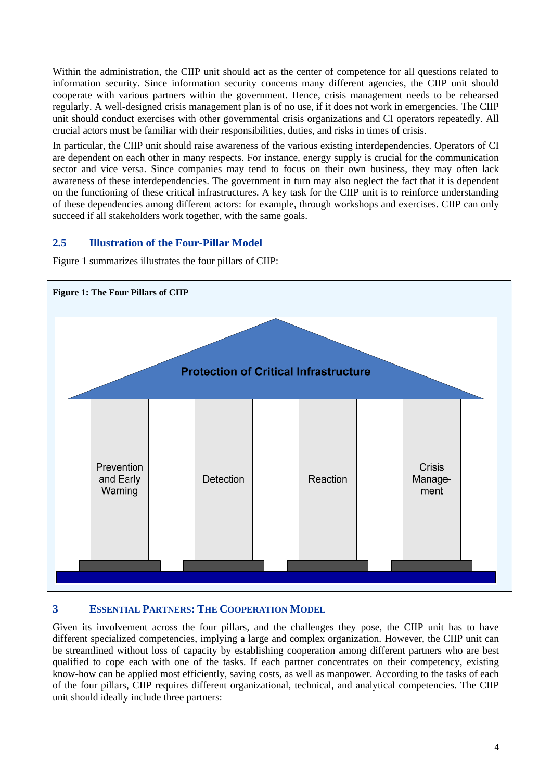<span id="page-9-0"></span>Within the administration, the CIIP unit should act as the center of competence for all questions related to information security. Since information security concerns many different agencies, the CIIP unit should cooperate with various partners within the government. Hence, crisis management needs to be rehearsed regularly. A well-designed crisis management plan is of no use, if it does not work in emergencies. The CIIP unit should conduct exercises with other governmental crisis organizations and CI operators repeatedly. All crucial actors must be familiar with their responsibilities, duties, and risks in times of crisis.

In particular, the CIIP unit should raise awareness of the various existing interdependencies. Operators of CI are dependent on each other in many respects. For instance, energy supply is crucial for the communication sector and vice versa. Since companies may tend to focus on their own business, they may often lack awareness of these interdependencies. The government in turn may also neglect the fact that it is dependent on the functioning of these critical infrastructures. A key task for the CIIP unit is to reinforce understanding of these dependencies among different actors: for example, through workshops and exercises. CIIP can only succeed if all stakeholders work together, with the same goals.

# **2.5 Illustration of the Four-Pillar Model**

Figure 1 summarizes illustrates the four pillars of CIIP:



# **3 ESSENTIAL PARTNERS: THE COOPERATION MODEL**

Given its involvement across the four pillars, and the challenges they pose, the CIIP unit has to have different specialized competencies, implying a large and complex organization. However, the CIIP unit can be streamlined without loss of capacity by establishing cooperation among different partners who are best qualified to cope each with one of the tasks. If each partner concentrates on their competency, existing know-how can be applied most efficiently, saving costs, as well as manpower. According to the tasks of each of the four pillars, CIIP requires different organizational, technical, and analytical competencies. The CIIP unit should ideally include three partners: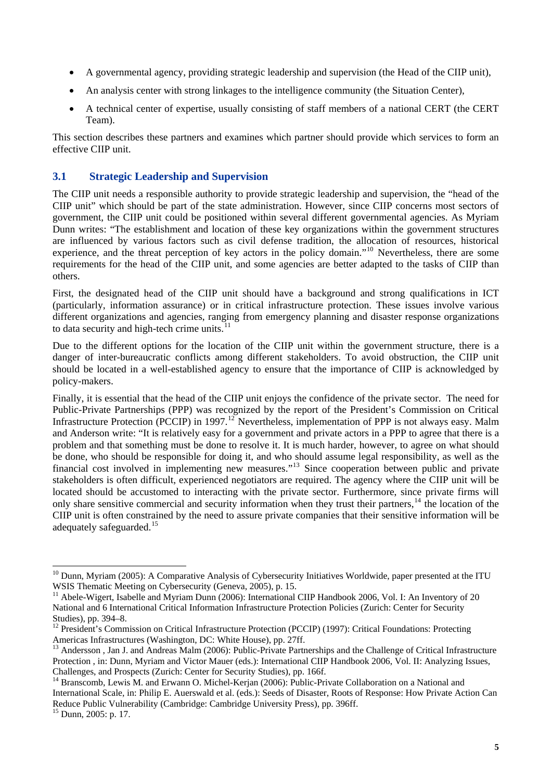- <span id="page-10-0"></span>• A governmental agency, providing strategic leadership and supervision (the Head of the CIIP unit),
- An analysis center with strong linkages to the intelligence community (the Situation Center),
- A technical center of expertise, usually consisting of staff members of a national CERT (the CERT Team).

This section describes these partners and examines which partner should provide which services to form an effective CIIP unit.

## **3.1 Strategic Leadership and Supervision**

The CIIP unit needs a responsible authority to provide strategic leadership and supervision, the "head of the CIIP unit" which should be part of the state administration. However, since CIIP concerns most sectors of government, the CIIP unit could be positioned within several different governmental agencies. As Myriam Dunn writes: "The establishment and location of these key organizations within the government structures are influenced by various factors such as civil defense tradition, the allocation of resources, historical experience, and the threat perception of key actors in the policy domain."[10](#page-10-1) Nevertheless, there are some requirements for the head of the CIIP unit, and some agencies are better adapted to the tasks of CIIP than others.

First, the designated head of the CIIP unit should have a background and strong qualifications in ICT (particularly, information assurance) or in critical infrastructure protection. These issues involve various different organizations and agencies, ranging from emergency planning and disaster response organizations to data security and high-tech crime units.<sup>[11](#page-10-2)</sup>

Due to the different options for the location of the CIIP unit within the government structure, there is a danger of inter-bureaucratic conflicts among different stakeholders. To avoid obstruction, the CIIP unit should be located in a well-established agency to ensure that the importance of CIIP is acknowledged by policy-makers.

Finally, it is essential that the head of the CIIP unit enjoys the confidence of the private sector. The need for Public-Private Partnerships (PPP) was recognized by the report of the President's Commission on Critical Infrastructure Protection (PCCIP) in 1997.<sup>[12](#page-10-3)</sup> Nevertheless, implementation of PPP is not always easy. Malm and Anderson write: "It is relatively easy for a government and private actors in a PPP to agree that there is a problem and that something must be done to resolve it. It is much harder, however, to agree on what should be done, who should be responsible for doing it, and who should assume legal responsibility, as well as the financial cost involved in implementing new measures."[13](#page-10-4) Since cooperation between public and private stakeholders is often difficult, experienced negotiators are required. The agency where the CIIP unit will be located should be accustomed to interacting with the private sector. Furthermore, since private firms will only share sensitive commercial and security information when they trust their partners,<sup>[14](#page-10-5)</sup> the location of the CIIP unit is often constrained by the need to assure private companies that their sensitive information will be adequately safeguarded.<sup>[15](#page-10-6)</sup>

<span id="page-10-1"></span><sup>&</sup>lt;sup>10</sup> Dunn, Myriam (2005): A Comparative Analysis of Cybersecurity Initiatives Worldwide, paper presented at the ITU WSIS Thematic Meeting on Cybersecurity (Geneva, 2005), p. 15.

<span id="page-10-2"></span> $^{11}$  Abele-Wigert, Isabelle and Myriam Dunn (2006): International CIIP Handbook 2006, Vol. I: An Inventory of 20 National and 6 International Critical Information Infrastructure Protection Policies (Zurich: Center for Security Studies), pp. 394–8.

<span id="page-10-3"></span><sup>&</sup>lt;sup>12</sup> President's Commission on Critical Infrastructure Protection (PCCIP) (1997): Critical Foundations: Protecting Americas Infrastructures (Washington, DC: White House), pp. 27ff.

<span id="page-10-4"></span><sup>&</sup>lt;sup>13</sup> Andersson, Jan J. and Andreas Malm (2006): Public-Private Partnerships and the Challenge of Critical Infrastructure Protection , in: Dunn, Myriam and Victor Mauer (eds.): International CIIP Handbook 2006, Vol. II: Analyzing Issues,

<span id="page-10-5"></span>Challenges, and Prospects (Zurich: Center for Security Studies), pp. 166f.<br><sup>14</sup> Branscomb, Lewis M. and Erwann O. Michel-Kerjan (2006): Public-Private Collaboration on a National and International Scale, in: Philip E. Auerswald et al. (eds.): Seeds of Disaster, Roots of Response: How Private Action Can Reduce Public Vulnerability (Cambridge: Cambridge University Press), pp. 396ff. 15 Dunn, 2005: p. 17.

<span id="page-10-6"></span>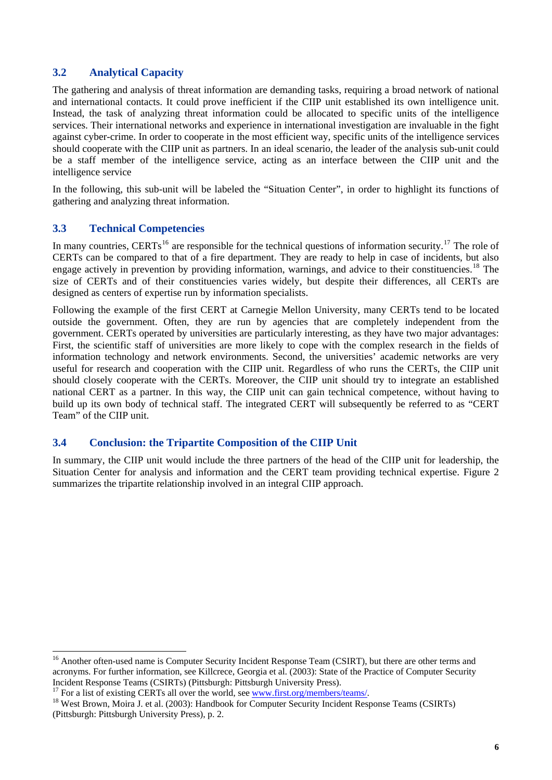## <span id="page-11-0"></span>**3.2 Analytical Capacity**

The gathering and analysis of threat information are demanding tasks, requiring a broad network of national and international contacts. It could prove inefficient if the CIIP unit established its own intelligence unit. Instead, the task of analyzing threat information could be allocated to specific units of the intelligence services. Their international networks and experience in international investigation are invaluable in the fight against cyber-crime. In order to cooperate in the most efficient way, specific units of the intelligence services should cooperate with the CIIP unit as partners. In an ideal scenario, the leader of the analysis sub-unit could be a staff member of the intelligence service, acting as an interface between the CIIP unit and the intelligence service

In the following, this sub-unit will be labeled the "Situation Center", in order to highlight its functions of gathering and analyzing threat information.

## **3.3 Technical Competencies**

 $\overline{a}$ 

In many countries, CERTs<sup>[16](#page-11-1)</sup> are responsible for the technical questions of information security.<sup>[17](#page-11-2)</sup> The role of CERTs can be compared to that of a fire department. They are ready to help in case of incidents, but also engage actively in prevention by providing information, warnings, and advice to their constituencies.<sup>[18](#page-11-3)</sup> The size of CERTs and of their constituencies varies widely, but despite their differences, all CERTs are designed as centers of expertise run by information specialists.

Following the example of the first CERT at Carnegie Mellon University, many CERTs tend to be located outside the government. Often, they are run by agencies that are completely independent from the government. CERTs operated by universities are particularly interesting, as they have two major advantages: First, the scientific staff of universities are more likely to cope with the complex research in the fields of information technology and network environments. Second, the universities' academic networks are very useful for research and cooperation with the CIIP unit. Regardless of who runs the CERTs, the CIIP unit should closely cooperate with the CERTs. Moreover, the CIIP unit should try to integrate an established national CERT as a partner. In this way, the CIIP unit can gain technical competence, without having to build up its own body of technical staff. The integrated CERT will subsequently be referred to as "CERT Team" of the CIIP unit.

## **3.4 Conclusion: the Tripartite Composition of the CIIP Unit**

In summary, the CIIP unit would include the three partners of the head of the CIIP unit for leadership, the Situation Center for analysis and information and the CERT team providing technical expertise. Figure 2 summarizes the tripartite relationship involved in an integral CIIP approach.

<span id="page-11-1"></span><sup>&</sup>lt;sup>16</sup> Another often-used name is Computer Security Incident Response Team (CSIRT), but there are other terms and acronyms. For further information, see Killcrece, Georgia et al. (2003): State of the Practice of Computer Security Incident Response Teams (CSIRTs) (Pittsburgh: Pittsburgh University Press).

<span id="page-11-3"></span><span id="page-11-2"></span><sup>&</sup>lt;sup>17</sup> For a list of existing CERTs all over the world, see  $\frac{www.first.org/members/ teams/}{members/teams/}$ .<br><sup>18</sup> West Brown, Moira J. et al. (2003): Handbook for [Computer Security Incident Res](http://www.first.org/members/teams/)ponse Teams (CSIRTs) (Pittsburgh: Pittsburgh University Press), p. 2.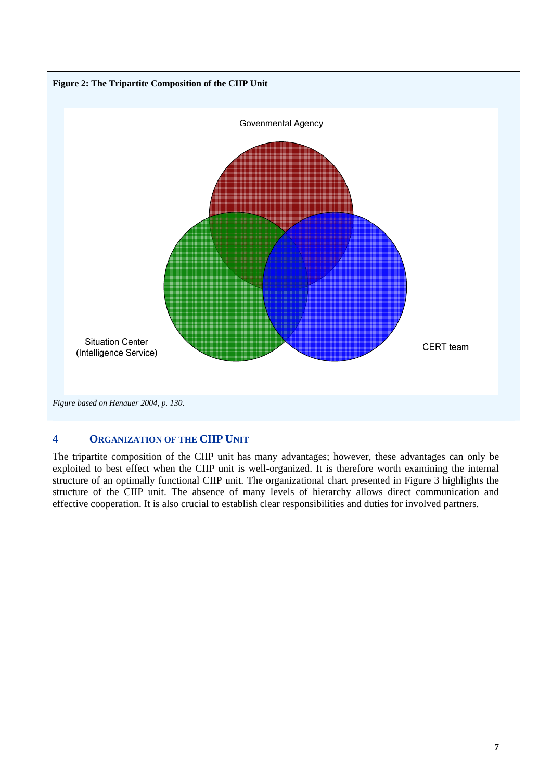<span id="page-12-0"></span>

# **4 ORGANIZATION OF THE CIIP UNIT**

The tripartite composition of the CIIP unit has many advantages; however, these advantages can only be exploited to best effect when the CIIP unit is well-organized. It is therefore worth examining the internal structure of an optimally functional CIIP unit. The organizational chart presented in Figure 3 highlights the structure of the CIIP unit. The absence of many levels of hierarchy allows direct communication and effective cooperation. It is also crucial to establish clear responsibilities and duties for involved partners.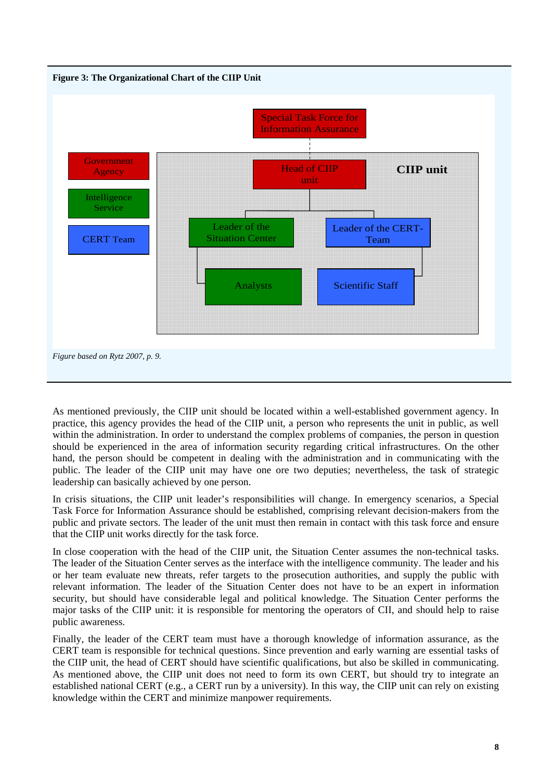

As mentioned previously, the CIIP unit should be located within a well-established government agency. In practice, this agency provides the head of the CIIP unit, a person who represents the unit in public, as well within the administration. In order to understand the complex problems of companies, the person in question should be experienced in the area of information security regarding critical infrastructures. On the other hand, the person should be competent in dealing with the administration and in communicating with the public. The leader of the CIIP unit may have one ore two deputies; nevertheless, the task of strategic leadership can basically achieved by one person.

In crisis situations, the CIIP unit leader's responsibilities will change. In emergency scenarios, a Special Task Force for Information Assurance should be established, comprising relevant decision-makers from the public and private sectors. The leader of the unit must then remain in contact with this task force and ensure that the CIIP unit works directly for the task force.

In close cooperation with the head of the CIIP unit, the Situation Center assumes the non-technical tasks. The leader of the Situation Center serves as the interface with the intelligence community. The leader and his or her team evaluate new threats, refer targets to the prosecution authorities, and supply the public with relevant information. The leader of the Situation Center does not have to be an expert in information security, but should have considerable legal and political knowledge. The Situation Center performs the major tasks of the CIIP unit: it is responsible for mentoring the operators of CII, and should help to raise public awareness.

Finally, the leader of the CERT team must have a thorough knowledge of information assurance, as the CERT team is responsible for technical questions. Since prevention and early warning are essential tasks of the CIIP unit, the head of CERT should have scientific qualifications, but also be skilled in communicating. As mentioned above, the CIIP unit does not need to form its own CERT, but should try to integrate an established national CERT (e.g., a CERT run by a university). In this way, the CIIP unit can rely on existing knowledge within the CERT and minimize manpower requirements.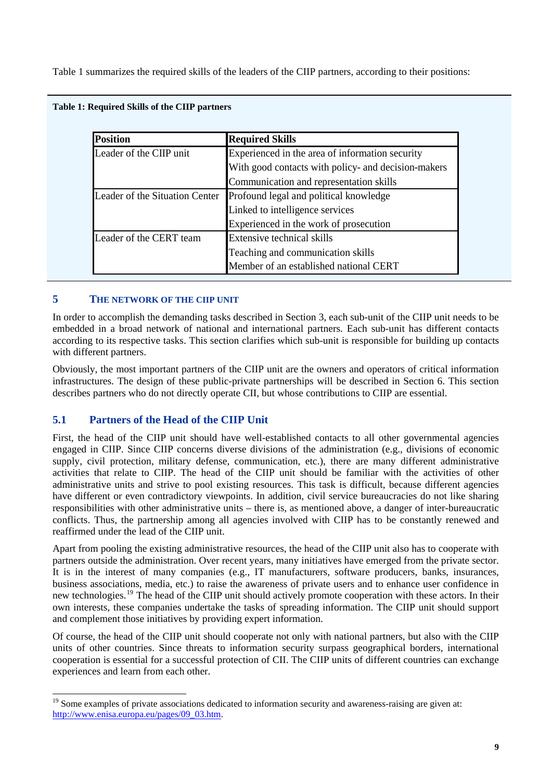<span id="page-14-0"></span>Table 1 summarizes the required skills of the leaders of the CIIP partners, according to their positions:

| <b>Position</b>                | <b>Required Skills</b>                              |
|--------------------------------|-----------------------------------------------------|
| Leader of the CIIP unit        | Experienced in the area of information security     |
|                                | With good contacts with policy- and decision-makers |
|                                | Communication and representation skills             |
| Leader of the Situation Center | Profound legal and political knowledge              |
|                                | Linked to intelligence services                     |
|                                | Experienced in the work of prosecution              |
| Leader of the CERT team        | Extensive technical skills                          |
|                                | Teaching and communication skills                   |
|                                | Member of an established national CERT              |

#### **Table 1: Required Skills of the CIIP partners**

#### **5 THE NETWORK OF THE CIIP UNIT**

In order to accomplish the demanding tasks described in Section 3, each sub-unit of the CIIP unit needs to be embedded in a broad network of national and international partners. Each sub-unit has different contacts according to its respective tasks. This section clarifies which sub-unit is responsible for building up contacts with different partners.

Obviously, the most important partners of the CIIP unit are the owners and operators of critical information infrastructures. The design of these public-private partnerships will be described in Section 6. This section describes partners who do not directly operate CII, but whose contributions to CIIP are essential.

## **5.1 Partners of the Head of the CIIP Unit**

First, the head of the CIIP unit should have well-established contacts to all other governmental agencies engaged in CIIP. Since CIIP concerns diverse divisions of the administration (e.g., divisions of economic supply, civil protection, military defense, communication, etc.), there are many different administrative activities that relate to CIIP. The head of the CIIP unit should be familiar with the activities of other administrative units and strive to pool existing resources. This task is difficult, because different agencies have different or even contradictory viewpoints. In addition, civil service bureaucracies do not like sharing responsibilities with other administrative units – there is, as mentioned above, a danger of inter-bureaucratic conflicts. Thus, the partnership among all agencies involved with CIIP has to be constantly renewed and reaffirmed under the lead of the CIIP unit.

Apart from pooling the existing administrative resources, the head of the CIIP unit also has to cooperate with partners outside the administration. Over recent years, many initiatives have emerged from the private sector. It is in the interest of many companies (e.g., IT manufacturers, software producers, banks, insurances, business associations, media, etc.) to raise the awareness of private users and to enhance user confidence in new technologies.[19](#page-14-1) The head of the CIIP unit should actively promote cooperation with these actors. In their own interests, these companies undertake the tasks of spreading information. The CIIP unit should support and complement those initiatives by providing expert information.

Of course, the head of the CIIP unit should cooperate not only with national partners, but also with the CIIP units of other countries. Since threats to information security surpass geographical borders, international cooperation is essential for a successful protection of CII. The CIIP units of different countries can exchange experiences and learn from each other.

<span id="page-14-1"></span><sup>&</sup>lt;sup>19</sup> Some examples of private associations dedicated to information security and awareness-raising are given at: [http://www.enisa.europa.eu/pages/09\\_03.htm](http://www.enisa.europa.eu/pages/09_03.htm).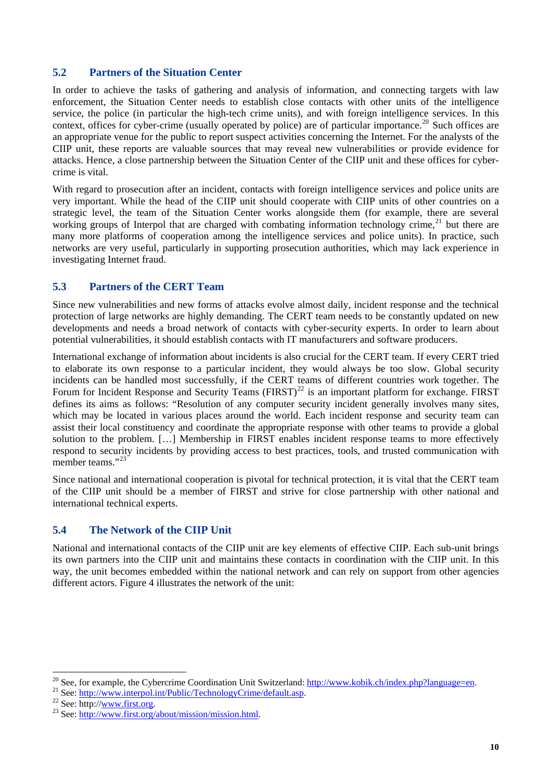## <span id="page-15-0"></span>**5.2 Partners of the Situation Center**

In order to achieve the tasks of gathering and analysis of information, and connecting targets with law enforcement, the Situation Center needs to establish close contacts with other units of the intelligence service, the police (in particular the high-tech crime units), and with foreign intelligence services. In this context, offices for cyber-crime (usually operated by police) are of particular importance.<sup>[20](#page-15-1)</sup> Such offices are an appropriate venue for the public to report suspect activities concerning the Internet. For the analysts of the CIIP unit, these reports are valuable sources that may reveal new vulnerabilities or provide evidence for attacks. Hence, a close partnership between the Situation Center of the CIIP unit and these offices for cybercrime is vital.

With regard to prosecution after an incident, contacts with foreign intelligence services and police units are very important. While the head of the CIIP unit should cooperate with CIIP units of other countries on a strategic level, the team of the Situation Center works alongside them (for example, there are several working groups of Interpol that are charged with combating information technology crime, $21$  but there are many more platforms of cooperation among the intelligence services and police units). In practice, such networks are very useful, particularly in supporting prosecution authorities, which may lack experience in investigating Internet fraud.

## **5.3 Partners of the CERT Team**

Since new vulnerabilities and new forms of attacks evolve almost daily, incident response and the technical protection of large networks are highly demanding. The CERT team needs to be constantly updated on new developments and needs a broad network of contacts with cyber-security experts. In order to learn about potential vulnerabilities, it should establish contacts with IT manufacturers and software producers.

International exchange of information about incidents is also crucial for the CERT team. If every CERT tried to elaborate its own response to a particular incident, they would always be too slow. Global security incidents can be handled most successfully, if the CERT teams of different countries work together. The Forum for Incident Response and Security Teams ( $FIRST$ )<sup>[22](#page-15-3)</sup> is an important platform for exchange. FIRST defines its aims as follows: "Resolution of any computer security incident generally involves many sites, which may be located in various places around the world. Each incident response and security team can assist their local constituency and coordinate the appropriate response with other teams to provide a global solution to the problem. […] Membership in FIRST enables incident response teams to more effectively respond to security incidents by providing access to best practices, tools, and trusted communication with member teams."<sup>[23](#page-15-4)</sup>

Since national and international cooperation is pivotal for technical protection, it is vital that the CERT team of the CIIP unit should be a member of FIRST and strive for close partnership with other national and international technical experts.

## **5.4 The Network of the CIIP Unit**

National and international contacts of the CIIP unit are key elements of effective CIIP. Each sub-unit brings its own partners into the CIIP unit and maintains these contacts in coordination with the CIIP unit. In this way, the unit becomes embedded within the national network and can rely on support from other agencies different actors. Figure 4 illustrates the network of the unit:

<span id="page-15-1"></span><sup>&</sup>lt;sup>20</sup> See, [for example, the Cybercrime Coordination Unit Switzerland:](http://www.interpol.int/Public/TechnologyCrime/default.asp) <u>http://www.kobik.ch/index.php?language=en</u>.<br><sup>21</sup> See: <u>http://www.interpol.int/Public/TechnologyCrime/default.asp</u>.<br><sup>22</sup> See: [http:/](http://www.first.org/about/mission/mission.html)/<u>www.first.org/abou</u>

<span id="page-15-2"></span>

<span id="page-15-3"></span>

<span id="page-15-4"></span>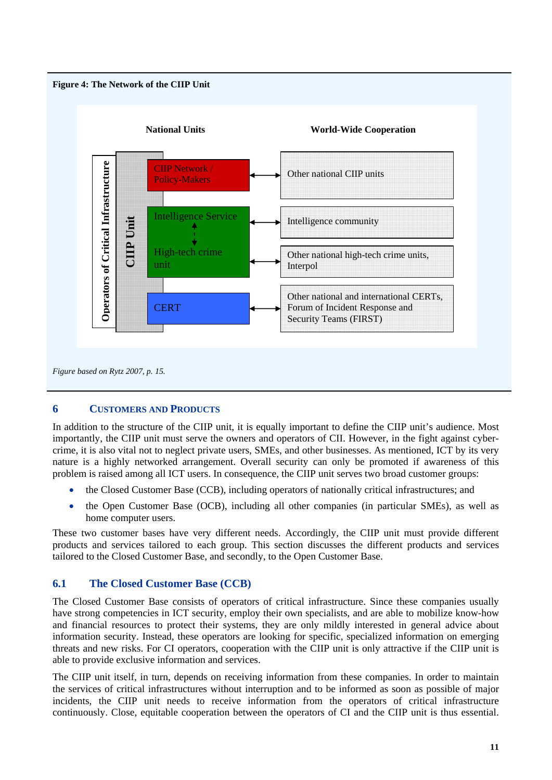<span id="page-16-0"></span>



## **6 CUSTOMERS AND PRODUCTS**

In addition to the structure of the CIIP unit, it is equally important to define the CIIP unit's audience. Most importantly, the CIIP unit must serve the owners and operators of CII. However, in the fight against cybercrime, it is also vital not to neglect private users, SMEs, and other businesses. As mentioned, ICT by its very nature is a highly networked arrangement. Overall security can only be promoted if awareness of this problem is raised among all ICT users. In consequence, the CIIP unit serves two broad customer groups:

- the Closed Customer Base (CCB), including operators of nationally critical infrastructures; and
- the Open Customer Base (OCB), including all other companies (in particular SMEs), as well as home computer users.

These two customer bases have very different needs. Accordingly, the CIIP unit must provide different products and services tailored to each group. This section discusses the different products and services tailored to the Closed Customer Base, and secondly, to the Open Customer Base.

## **6.1 The Closed Customer Base (CCB)**

The Closed Customer Base consists of operators of critical infrastructure. Since these companies usually have strong competencies in ICT security, employ their own specialists, and are able to mobilize know-how and financial resources to protect their systems, they are only mildly interested in general advice about information security. Instead, these operators are looking for specific, specialized information on emerging threats and new risks. For CI operators, cooperation with the CIIP unit is only attractive if the CIIP unit is able to provide exclusive information and services.

The CIIP unit itself, in turn, depends on receiving information from these companies. In order to maintain the services of critical infrastructures without interruption and to be informed as soon as possible of major incidents, the CIIP unit needs to receive information from the operators of critical infrastructure continuously. Close, equitable cooperation between the operators of CI and the CIIP unit is thus essential.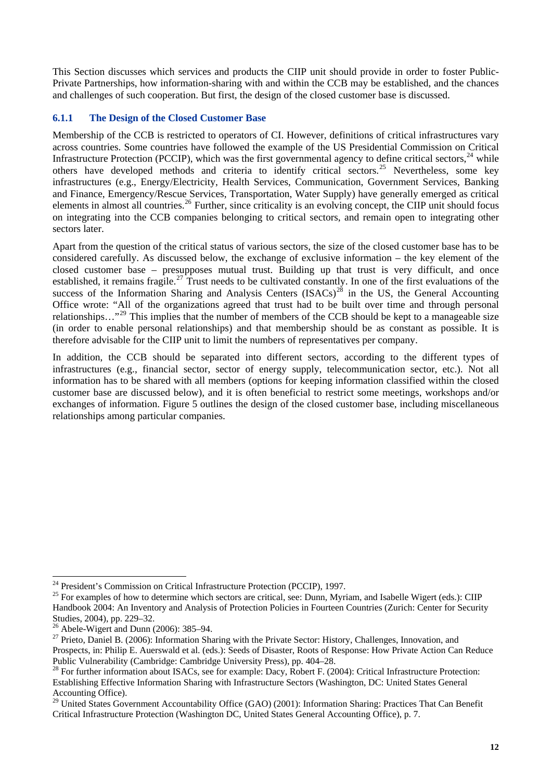<span id="page-17-0"></span>This Section discusses which services and products the CIIP unit should provide in order to foster Public-Private Partnerships, how information-sharing with and within the CCB may be established, and the chances and challenges of such cooperation. But first, the design of the closed customer base is discussed.

## **6.1.1 The Design of the Closed Customer Base**

Membership of the CCB is restricted to operators of CI. However, definitions of critical infrastructures vary across countries. Some countries have followed the example of the US Presidential Commission on Critical Infrastructure Protection (PCCIP), which was the first governmental agency to define critical sectors.<sup>[24](#page-17-1)</sup> while others have developed methods and criteria to identify critical sectors.<sup>[25](#page-17-2)</sup> Nevertheless, some key infrastructures (e.g., Energy/Electricity, Health Services, Communication, Government Services, Banking and Finance, Emergency/Rescue Services, Transportation, Water Supply) have generally emerged as critical elements in almost all countries.<sup>[26](#page-17-3)</sup> Further, since criticality is an evolving concept, the CIIP unit should focus on integrating into the CCB companies belonging to critical sectors, and remain open to integrating other sectors later.

Apart from the question of the critical status of various sectors, the size of the closed customer base has to be considered carefully. As discussed below, the exchange of exclusive information – the key element of the closed customer base – presupposes mutual trust. Building up that trust is very difficult, and once established, it remains fragile.<sup>[27](#page-17-4)</sup> Trust needs to be cultivated constantly. In one of the first evaluations of the success of the Information Sharing and Analysis Centers  $(ISACs)^{2\delta}$  in the US, the General Accounting Office wrote: "All of the organizations agreed that trust had to be built over time and through personal relationships…"[29](#page-17-6) This implies that the number of members of the CCB should be kept to a manageable size (in order to enable personal relationships) and that membership should be as constant as possible. It is therefore advisable for the CIIP unit to limit the numbers of representatives per company.

In addition, the CCB should be separated into different sectors, according to the different types of infrastructures (e.g., financial sector, sector of energy supply, telecommunication sector, etc.). Not all information has to be shared with all members (options for keeping information classified within the closed customer base are discussed below), and it is often beneficial to restrict some meetings, workshops and/or exchanges of information. Figure 5 outlines the design of the closed customer base, including miscellaneous relationships among particular companies.

<span id="page-17-1"></span><sup>&</sup>lt;sup>24</sup> President's Commission on Critical Infrastructure Protection (PCCIP), 1997.

<span id="page-17-2"></span> $25$  For examples of how to determine which sectors are critical, see: Dunn, Myriam, and Isabelle Wigert (eds.): CIIP Handbook 2004: An Inventory and Analysis of Protection Policies in Fourteen Countries (Zurich: Center for Security Studies, 2004), pp. 229–32.

 $26$  Abele-Wigert and Dunn (2006): 385–94.

<span id="page-17-4"></span><span id="page-17-3"></span><sup>&</sup>lt;sup>27</sup> Prieto, Daniel B. (2006): Information Sharing with the Private Sector: History, Challenges, Innovation, and Prospects, in: Philip E. Auerswald et al. (eds.): Seeds of Disaster, Roots of Response: How Private Action Can Reduce Public Vulnerability (Cambridge: Cambridge University Press), pp. 404–28.

<span id="page-17-5"></span><sup>&</sup>lt;sup>28</sup> For further information about ISACs, see for example: Dacy, Robert F. (2004): Critical Infrastructure Protection: Establishing Effective Information Sharing with Infrastructure Sectors (Washington, DC: United States General Accounting Office).

<span id="page-17-6"></span><sup>&</sup>lt;sup>29</sup> United States Government Accountability Office (GAO) (2001): Information Sharing: Practices That Can Benefit Critical Infrastructure Protection (Washington DC, United States General Accounting Office), p. 7.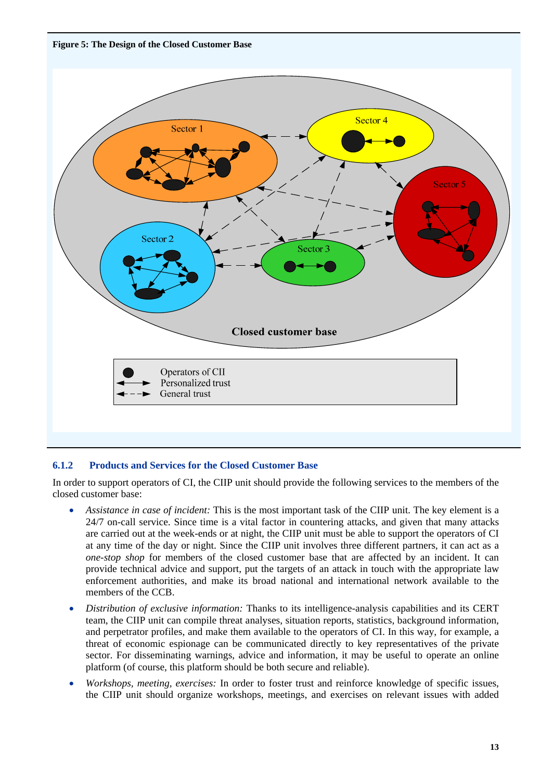<span id="page-18-0"></span>**Figure 5: The Design of the Closed Customer Base** 



## **6.1.2 Products and Services for the Closed Customer Base**

In order to support operators of CI, the CIIP unit should provide the following services to the members of the closed customer base:

- *Assistance in case of incident:* This is the most important task of the CIIP unit. The key element is a 24/7 on-call service. Since time is a vital factor in countering attacks, and given that many attacks are carried out at the week-ends or at night, the CIIP unit must be able to support the operators of CI at any time of the day or night. Since the CIIP unit involves three different partners, it can act as a *one-stop shop* for members of the closed customer base that are affected by an incident. It can provide technical advice and support, put the targets of an attack in touch with the appropriate law enforcement authorities, and make its broad national and international network available to the members of the CCB.
- *Distribution of exclusive information:* Thanks to its intelligence-analysis capabilities and its CERT team, the CIIP unit can compile threat analyses, situation reports, statistics, background information, and perpetrator profiles, and make them available to the operators of CI. In this way, for example, a threat of economic espionage can be communicated directly to key representatives of the private sector. For disseminating warnings, advice and information, it may be useful to operate an online platform (of course, this platform should be both secure and reliable).
- *Workshops, meeting, exercises:* In order to foster trust and reinforce knowledge of specific issues, the CIIP unit should organize workshops, meetings, and exercises on relevant issues with added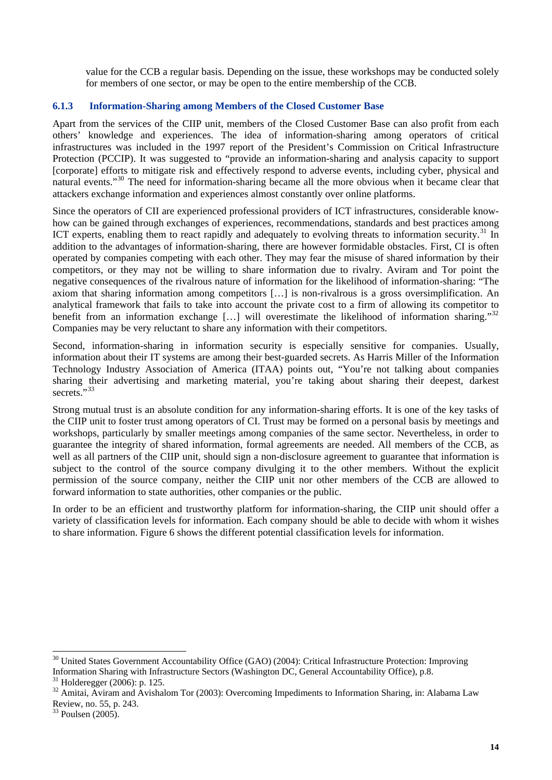<span id="page-19-0"></span>value for the CCB a regular basis. Depending on the issue, these workshops may be conducted solely for members of one sector, or may be open to the entire membership of the CCB.

#### **6.1.3 Information-Sharing among Members of the Closed Customer Base**

Apart from the services of the CIIP unit, members of the Closed Customer Base can also profit from each others' knowledge and experiences. The idea of information-sharing among operators of critical infrastructures was included in the 1997 report of the President's Commission on Critical Infrastructure Protection (PCCIP). It was suggested to "provide an information-sharing and analysis capacity to support [corporate] efforts to mitigate risk and effectively respond to adverse events, including cyber, physical and natural events."<sup>[30](#page-19-1)</sup> The need for information-sharing became all the more obvious when it became clear that attackers exchange information and experiences almost constantly over online platforms.

Since the operators of CII are experienced professional providers of ICT infrastructures, considerable knowhow can be gained through exchanges of experiences, recommendations, standards and best practices among ICT experts, enabling them to react rapidly and adequately to evolving threats to information security.<sup>[31](#page-19-2)</sup> In addition to the advantages of information-sharing, there are however formidable obstacles. First, CI is often operated by companies competing with each other. They may fear the misuse of shared information by their competitors, or they may not be willing to share information due to rivalry. Aviram and Tor point the negative consequences of the rivalrous nature of information for the likelihood of information-sharing: "The axiom that sharing information among competitors […] is non-rivalrous is a gross oversimplification. An analytical framework that fails to take into account the private cost to a firm of allowing its competitor to benefit from an information exchange [...] will overestimate the likelihood of information sharing."<sup>[32](#page-19-3)</sup> Companies may be very reluctant to share any information with their competitors.

Second, information-sharing in information security is especially sensitive for companies. Usually, information about their IT systems are among their best-guarded secrets. As Harris Miller of the Information Technology Industry Association of America (ITAA) points out, "You're not talking about companies sharing their advertising and marketing material, you're taking about sharing their deepest, darkest secrets<sup>"</sup>

Strong mutual trust is an absolute condition for any information-sharing efforts. It is one of the key tasks of the CIIP unit to foster trust among operators of CI. Trust may be formed on a personal basis by meetings and workshops, particularly by smaller meetings among companies of the same sector. Nevertheless, in order to guarantee the integrity of shared information, formal agreements are needed. All members of the CCB, as well as all partners of the CIIP unit, should sign a non-disclosure agreement to guarantee that information is subject to the control of the source company divulging it to the other members. Without the explicit permission of the source company, neither the CIIP unit nor other members of the CCB are allowed to forward information to state authorities, other companies or the public.

In order to be an efficient and trustworthy platform for information-sharing, the CIIP unit should offer a variety of classification levels for information. Each company should be able to decide with whom it wishes to share information. Figure 6 shows the different potential classification levels for information.

 $\overline{a}$ 

<span id="page-19-1"></span><sup>&</sup>lt;sup>30</sup> United States Government Accountability Office (GAO) (2004): Critical Infrastructure Protection: Improving Information Sharing with Infrastructure Sectors (Washington DC, General Accountability Office), p.8. 31 Holderegger (2006): p. 125.

<span id="page-19-3"></span><span id="page-19-2"></span> $32$  Amitai, Aviram and Avishalom Tor (2003): Overcoming Impediments to Information Sharing, in: Alabama Law Review, no. 55, p. 243.

<span id="page-19-4"></span><sup>33</sup> Poulsen (2005).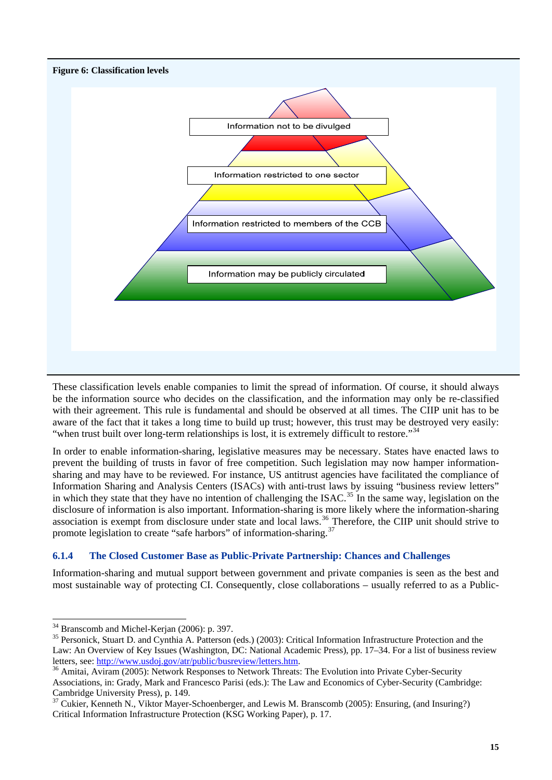<span id="page-20-0"></span>

These classification levels enable companies to limit the spread of information. Of course, it should always be the information source who decides on the classification, and the information may only be re-classified with their agreement. This rule is fundamental and should be observed at all times. The CIIP unit has to be aware of the fact that it takes a long time to build up trust; however, this trust may be destroyed very easily: "when trust built over long-term relationships is lost, it is extremely difficult to restore."<sup>[34](#page-20-1)</sup>

In order to enable information-sharing, legislative measures may be necessary. States have enacted laws to prevent the building of trusts in favor of free competition. Such legislation may now hamper informationsharing and may have to be reviewed. For instance, US antitrust agencies have facilitated the compliance of Information Sharing and Analysis Centers (ISACs) with anti-trust laws by issuing "business review letters" in which they state that they have no intention of challenging the ISAC.<sup>[35](#page-20-2)</sup> In the same way, legislation on the disclosure of information is also important. Information-sharing is more likely where the information-sharing association is exempt from disclosure under state and local laws.<sup>[36](#page-20-3)</sup> Therefore, the CIIP unit should strive to promote legislation to create "safe harbors" of information-sharing.[37](#page-20-4)

## **6.1.4 The Closed Customer Base as Public-Private Partnership: Chances and Challenges**

Information-sharing and mutual support between government and private companies is seen as the best and most sustainable way of protecting CI. Consequently, close collaborations – usually referred to as a Public-

 $\overline{a}$ 

 $34$  Branscomb and Michel-Kerjan (2006): p. 397.

<span id="page-20-2"></span><span id="page-20-1"></span><sup>&</sup>lt;sup>35</sup> Personick, Stuart D. and Cynthia A. Patterson (eds.) (2003): Critical Information Infrastructure Protection and the Law: An Overview of Key Issues (Washington, DC: National Academic Press), pp. 17–34. For a list of business review letters, see: [http://www.usdoj.gov/atr/public/busreview/letters.htm.](http://www.usdoj.gov/atr/public/busreview/letters.htm)<br><sup>36</sup> Amitai, Aviram (2005): Network Responses to Network Threats: The Evolution into Private Cyber-Security

<span id="page-20-3"></span>Associations, in: Grady, Mark and Francesco Parisi (eds.): The Law and Economics of Cyber-Security (Cambridge: Cambridge University Press), p. 149.

<span id="page-20-4"></span><sup>&</sup>lt;sup>37</sup> Cukier, Kenneth N., Viktor Mayer-Schoenberger, and Lewis M. Branscomb (2005): Ensuring, (and Insuring?) Critical Information Infrastructure Protection (KSG Working Paper), p. 17.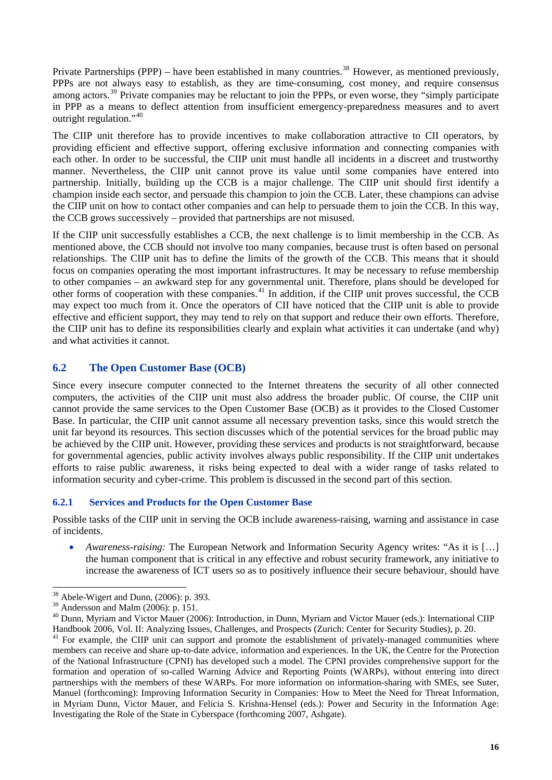<span id="page-21-0"></span>Private Partnerships (PPP) – have been established in many countries.<sup>[38](#page-21-1)</sup> However, as mentioned previously, PPPs are not always easy to establish, as they are time-consuming, cost money, and require consensus among actors.<sup>[39](#page-21-2)</sup> Private companies may be reluctant to join the PPPs, or even worse, they "simply participate in PPP as a means to deflect attention from insufficient emergency-preparedness measures and to avert outright regulation."<sup>[40](#page-21-3)</sup>

The CIIP unit therefore has to provide incentives to make collaboration attractive to CII operators, by providing efficient and effective support, offering exclusive information and connecting companies with each other. In order to be successful, the CIIP unit must handle all incidents in a discreet and trustworthy manner. Nevertheless, the CIIP unit cannot prove its value until some companies have entered into partnership. Initially, building up the CCB is a major challenge. The CIIP unit should first identify a champion inside each sector, and persuade this champion to join the CCB. Later, these champions can advise the CIIP unit on how to contact other companies and can help to persuade them to join the CCB. In this way, the CCB grows successively – provided that partnerships are not misused.

If the CIIP unit successfully establishes a CCB, the next challenge is to limit membership in the CCB. As mentioned above, the CCB should not involve too many companies, because trust is often based on personal relationships. The CIIP unit has to define the limits of the growth of the CCB. This means that it should focus on companies operating the most important infrastructures. It may be necessary to refuse membership to other companies – an awkward step for any governmental unit. Therefore, plans should be developed for other forms of cooperation with these companies.<sup>[41](#page-21-4)</sup> In addition, if the CIIP unit proves successful, the CCB may expect too much from it. Once the operators of CII have noticed that the CIIP unit is able to provide effective and efficient support, they may tend to rely on that support and reduce their own efforts. Therefore, the CIIP unit has to define its responsibilities clearly and explain what activities it can undertake (and why) and what activities it cannot.

## **6.2 The Open Customer Base (OCB)**

Since every insecure computer connected to the Internet threatens the security of all other connected computers, the activities of the CIIP unit must also address the broader public. Of course, the CIIP unit cannot provide the same services to the Open Customer Base (OCB) as it provides to the Closed Customer Base. In particular, the CIIP unit cannot assume all necessary prevention tasks, since this would stretch the unit far beyond its resources. This section discusses which of the potential services for the broad public may be achieved by the CIIP unit. However, providing these services and products is not straightforward, because for governmental agencies, public activity involves always public responsibility. If the CIIP unit undertakes efforts to raise public awareness, it risks being expected to deal with a wider range of tasks related to information security and cyber-crime. This problem is discussed in the second part of this section.

## **6.2.1 Services and Products for the Open Customer Base**

Possible tasks of the CIIP unit in serving the OCB include awareness-raising, warning and assistance in case of incidents.

• *Awareness-raising:* The European Network and Information Security Agency writes: "As it is […] the human component that is critical in any effective and robust security framework, any initiative to increase the awareness of ICT users so as to positively influence their secure behaviour, should have

 $38$  Abele-Wigert and Dunn, (2006): p. 393.

<span id="page-21-2"></span><span id="page-21-1"></span> $39$  Andersson and Malm (2006): p. 151.

<span id="page-21-3"></span><sup>&</sup>lt;sup>40</sup> Dunn, Myriam and Victor Mauer (2006): Introduction, in Dunn, Myriam and Victor Mauer (eds.): International CIIP

<span id="page-21-4"></span>Handbook 2006, Vol. II: Analyzing Issues, Challenges, and Prospects (Zurich: Center for Security Studies), p. 20.<br><sup>41</sup> For example, the CIIP unit can support and promote the establishment of privately-managed communities w members can receive and share up-to-date advice, information and experiences. In the UK, the Centre for the Protection of the National Infrastructure (CPNI) has developed such a model. The CPNI provides comprehensive support for the formation and operation of so-called Warning Advice and Reporting Points (WARPs), without entering into direct partnerships with the members of these WARPs. For more information on information-sharing with SMEs, see Suter, Manuel (forthcoming): Improving Information Security in Companies: How to Meet the Need for Threat Information, in Myriam Dunn, Victor Mauer, and Felicia S. Krishna-Hensel (eds.): Power and Security in the Information Age: Investigating the Role of the State in Cyberspace (forthcoming 2007, Ashgate).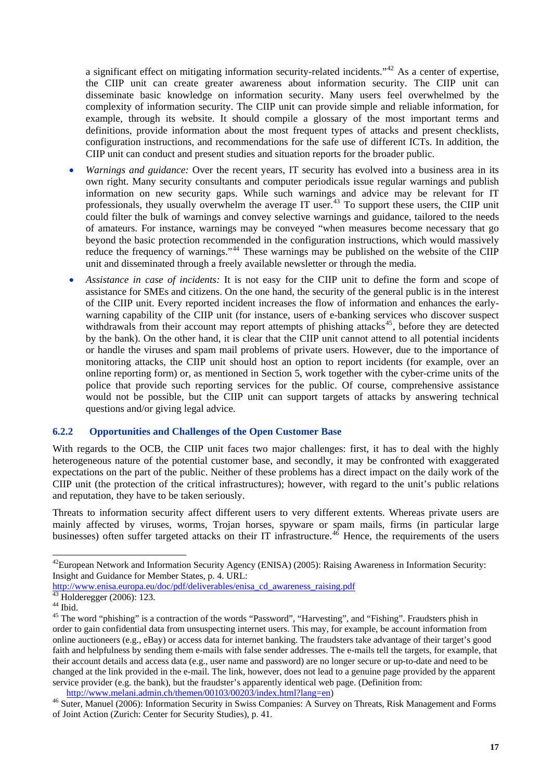<span id="page-22-0"></span>a significant effect on mitigating information security-related incidents."[42](#page-22-1) As a center of expertise, the CIIP unit can create greater awareness about information security. The CIIP unit can disseminate basic knowledge on information security. Many users feel overwhelmed by the complexity of information security. The CIIP unit can provide simple and reliable information, for example, through its website. It should compile a glossary of the most important terms and definitions, provide information about the most frequent types of attacks and present checklists, configuration instructions, and recommendations for the safe use of different ICTs. In addition, the CIIP unit can conduct and present studies and situation reports for the broader public.

- *Warnings and guidance:* Over the recent years, IT security has evolved into a business area in its own right. Many security consultants and computer periodicals issue regular warnings and publish information on new security gaps. While such warnings and advice may be relevant for IT professionals, they usually overwhelm the average IT user.<sup>[43](#page-22-2)</sup> To support these users, the CIIP unit could filter the bulk of warnings and convey selective warnings and guidance, tailored to the needs of amateurs. For instance, warnings may be conveyed "when measures become necessary that go beyond the basic protection recommended in the configuration instructions, which would massively reduce the frequency of warnings."<sup>[44](#page-22-3)</sup> These warnings may be published on the website of the CIIP unit and disseminated through a freely available newsletter or through the media.
- *Assistance in case of incidents:* It is not easy for the CIIP unit to define the form and scope of assistance for SMEs and citizens. On the one hand, the security of the general public is in the interest of the CIIP unit. Every reported incident increases the flow of information and enhances the earlywarning capability of the CIIP unit (for instance, users of e-banking services who discover suspect withdrawals from their account may report attempts of phishing attacks<sup>[45](#page-22-4)</sup>, before they are detected by the bank). On the other hand, it is clear that the CIIP unit cannot attend to all potential incidents or handle the viruses and spam mail problems of private users. However, due to the importance of monitoring attacks, the CIIP unit should host an option to report incidents (for example, over an online reporting form) or, as mentioned in Section 5, work together with the cyber-crime units of the police that provide such reporting services for the public. Of course, comprehensive assistance would not be possible, but the CIIP unit can support targets of attacks by answering technical questions and/or giving legal advice.

#### **6.2.2 Opportunities and Challenges of the Open Customer Base**

With regards to the OCB, the CIIP unit faces two major challenges: first, it has to deal with the highly heterogeneous nature of the potential customer base, and secondly, it may be confronted with exaggerated expectations on the part of the public. Neither of these problems has a direct impact on the daily work of the CIIP unit (the protection of the critical infrastructures); however, with regard to the unit's public relations and reputation, they have to be taken seriously.

Threats to information security affect different users to very different extents. Whereas private users are mainly affected by viruses, worms, Trojan horses, spyware or spam mails, firms (in particular large businesses) often suffer targeted attacks on their IT infrastructure.<sup>[46](#page-22-5)</sup> Hence, the requirements of the users

<span id="page-22-1"></span> $^{42}$ European Network and Information Security Agency (ENISA) (2005): Raising Awareness in Information Security: Insight and Guidance for Member States, p. 4. URL:

[http://www.enisa.europa.eu/doc/pdf/deliverables/enisa\\_cd\\_awareness\\_raising.pdf](http://www.enisa.europa.eu/doc/pdf/deliverables/enisa_cd_awareness_raising.pdf) [43 Holderegger \(2006\): 123.](http://www.enisa.europa.eu/doc/pdf/deliverables/enisa_cd_awareness_raising.pdf) 

<span id="page-22-3"></span><span id="page-22-2"></span> $^{44}$  Ibid.

<span id="page-22-4"></span><sup>&</sup>lt;sup>45</sup> The word "phishing" is a contraction of the words "Password", "Harvesting", and "Fishing". Fraudsters phish in order to gain confidential data from unsuspecting internet users. This may, for example, be account information from online auctioneers (e.g., eBay) or access data for internet banking. The fraudsters take advantage of their target's good faith and helpfulness by sending them e-mails with false sender addresses. The e-mails tell the targets, for example, that their account details and access data (e.g., user name and password) are no longer secure or up-to-date and need to be changed at the link provided in the e-mail. The link, however, does not lead to a genuine page provided by the apparent service provider (e.g. the bank), but the fraudster's apparently identical web page. (Definition from:

<span id="page-22-5"></span>[http://www.melani.admin.ch/themen/00103/00203/index.html?lang=en\)](http://www.melani.admin.ch/themen/00103/00203/index.html?lang=en) 46 S[uter, Manuel \(2006\): Information Security in Swiss Companies: A Surv](http://www.melani.admin.ch/themen/00103/00203/index.html?lang=en)ey on Threats, Risk Management and Forms of Joint Action (Zurich: Center for Security Studies), p. 41.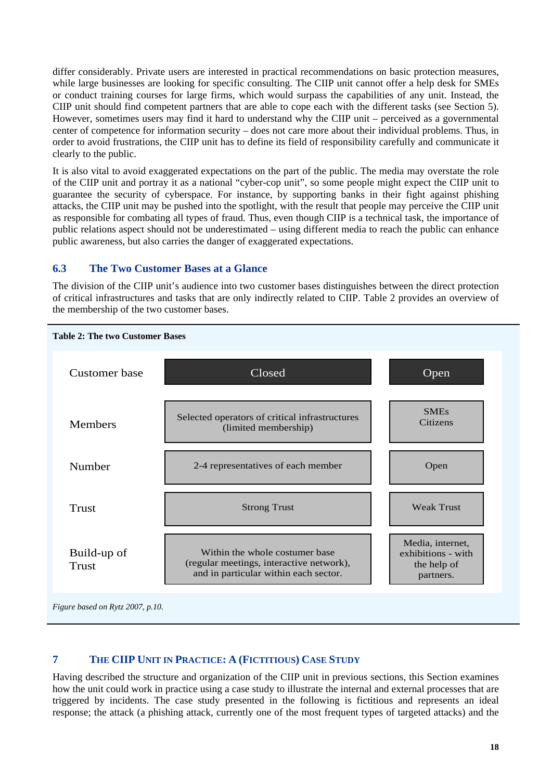<span id="page-23-0"></span>differ considerably. Private users are interested in practical recommendations on basic protection measures, while large businesses are looking for specific consulting. The CIIP unit cannot offer a help desk for SMEs or conduct training courses for large firms, which would surpass the capabilities of any unit. Instead, the CIIP unit should find competent partners that are able to cope each with the different tasks (see Section 5). However, sometimes users may find it hard to understand why the CIIP unit – perceived as a governmental center of competence for information security – does not care more about their individual problems. Thus, in order to avoid frustrations, the CIIP unit has to define its field of responsibility carefully and communicate it clearly to the public.

It is also vital to avoid exaggerated expectations on the part of the public. The media may overstate the role of the CIIP unit and portray it as a national "cyber-cop unit", so some people might expect the CIIP unit to guarantee the security of cyberspace. For instance, by supporting banks in their fight against phishing attacks, the CIIP unit may be pushed into the spotlight, with the result that people may perceive the CIIP unit as responsible for combating all types of fraud. Thus, even though CIIP is a technical task, the importance of public relations aspect should not be underestimated – using different media to reach the public can enhance public awareness, but also carries the danger of exaggerated expectations.

## **6.3 The Two Customer Bases at a Glance**

The division of the CIIP unit's audience into two customer bases distinguishes between the direct protection of critical infrastructures and tasks that are only indirectly related to CIIP. Table 2 provides an overview of the membership of the two customer bases.



*Figure based on Rytz 2007, p.10.*

## **7 THE CIIP UNIT IN PRACTICE: A (FICTITIOUS) CASE STUDY**

Having described the structure and organization of the CIIP unit in previous sections, this Section examines how the unit could work in practice using a case study to illustrate the internal and external processes that are triggered by incidents. The case study presented in the following is fictitious and represents an ideal response; the attack (a phishing attack, currently one of the most frequent types of targeted attacks) and the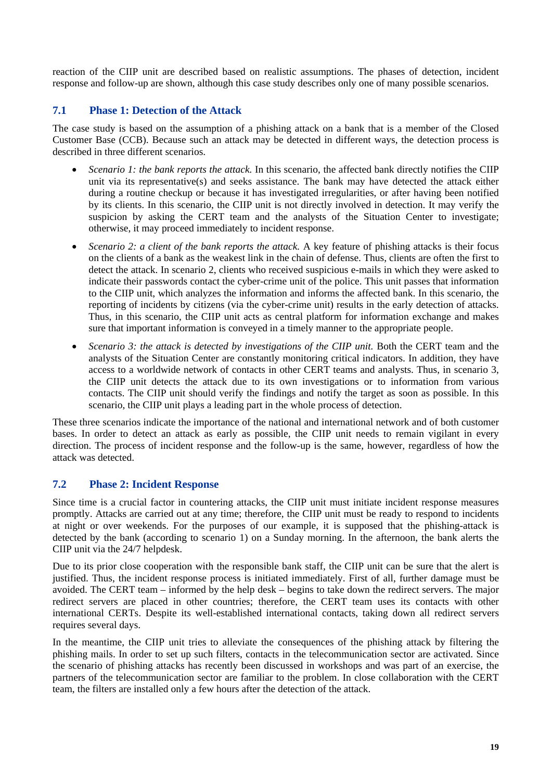<span id="page-24-0"></span>reaction of the CIIP unit are described based on realistic assumptions. The phases of detection, incident response and follow-up are shown, although this case study describes only one of many possible scenarios.

## **7.1 Phase 1: Detection of the Attack**

The case study is based on the assumption of a phishing attack on a bank that is a member of the Closed Customer Base (CCB). Because such an attack may be detected in different ways, the detection process is described in three different scenarios.

- *Scenario 1: the bank reports the attack.* In this scenario, the affected bank directly notifies the CIIP unit via its representative(s) and seeks assistance. The bank may have detected the attack either during a routine checkup or because it has investigated irregularities, or after having been notified by its clients. In this scenario, the CIIP unit is not directly involved in detection. It may verify the suspicion by asking the CERT team and the analysts of the Situation Center to investigate; otherwise, it may proceed immediately to incident response.
- *Scenario 2: a client of the bank reports the attack.* A key feature of phishing attacks is their focus on the clients of a bank as the weakest link in the chain of defense. Thus, clients are often the first to detect the attack. In scenario 2, clients who received suspicious e-mails in which they were asked to indicate their passwords contact the cyber-crime unit of the police. This unit passes that information to the CIIP unit, which analyzes the information and informs the affected bank. In this scenario, the reporting of incidents by citizens (via the cyber-crime unit) results in the early detection of attacks. Thus, in this scenario, the CIIP unit acts as central platform for information exchange and makes sure that important information is conveyed in a timely manner to the appropriate people.
- Scenario 3: the attack is detected by investigations of the CIIP unit. Both the CERT team and the analysts of the Situation Center are constantly monitoring critical indicators. In addition, they have access to a worldwide network of contacts in other CERT teams and analysts. Thus, in scenario 3, the CIIP unit detects the attack due to its own investigations or to information from various contacts. The CIIP unit should verify the findings and notify the target as soon as possible. In this scenario, the CIIP unit plays a leading part in the whole process of detection.

These three scenarios indicate the importance of the national and international network and of both customer bases. In order to detect an attack as early as possible, the CIIP unit needs to remain vigilant in every direction. The process of incident response and the follow-up is the same, however, regardless of how the attack was detected.

## **7.2 Phase 2: Incident Response**

Since time is a crucial factor in countering attacks, the CIIP unit must initiate incident response measures promptly. Attacks are carried out at any time; therefore, the CIIP unit must be ready to respond to incidents at night or over weekends. For the purposes of our example, it is supposed that the phishing-attack is detected by the bank (according to scenario 1) on a Sunday morning. In the afternoon, the bank alerts the CIIP unit via the 24/7 helpdesk.

Due to its prior close cooperation with the responsible bank staff, the CIIP unit can be sure that the alert is justified. Thus, the incident response process is initiated immediately. First of all, further damage must be avoided. The CERT team – informed by the help desk – begins to take down the redirect servers. The major redirect servers are placed in other countries; therefore, the CERT team uses its contacts with other international CERTs. Despite its well-established international contacts, taking down all redirect servers requires several days.

In the meantime, the CIIP unit tries to alleviate the consequences of the phishing attack by filtering the phishing mails. In order to set up such filters, contacts in the telecommunication sector are activated. Since the scenario of phishing attacks has recently been discussed in workshops and was part of an exercise, the partners of the telecommunication sector are familiar to the problem. In close collaboration with the CERT team, the filters are installed only a few hours after the detection of the attack.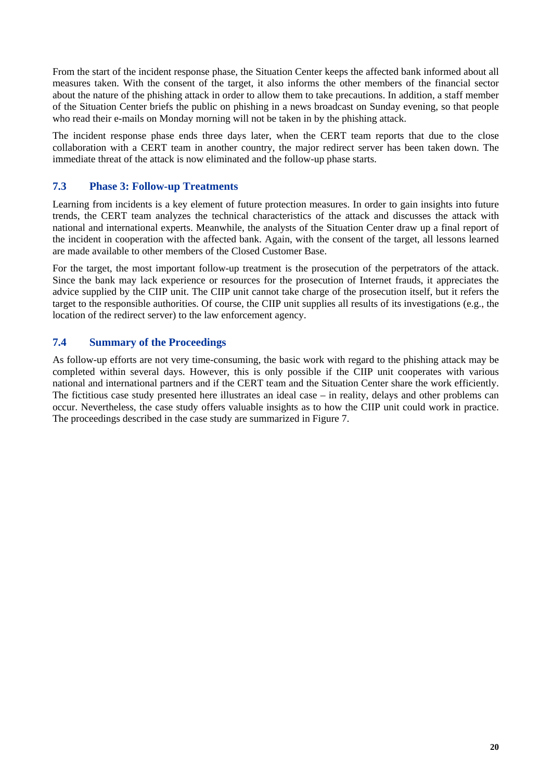<span id="page-25-0"></span>From the start of the incident response phase, the Situation Center keeps the affected bank informed about all measures taken. With the consent of the target, it also informs the other members of the financial sector about the nature of the phishing attack in order to allow them to take precautions. In addition, a staff member of the Situation Center briefs the public on phishing in a news broadcast on Sunday evening, so that people who read their e-mails on Monday morning will not be taken in by the phishing attack.

The incident response phase ends three days later, when the CERT team reports that due to the close collaboration with a CERT team in another country, the major redirect server has been taken down. The immediate threat of the attack is now eliminated and the follow-up phase starts.

## **7.3 Phase 3: Follow-up Treatments**

Learning from incidents is a key element of future protection measures. In order to gain insights into future trends, the CERT team analyzes the technical characteristics of the attack and discusses the attack with national and international experts. Meanwhile, the analysts of the Situation Center draw up a final report of the incident in cooperation with the affected bank. Again, with the consent of the target, all lessons learned are made available to other members of the Closed Customer Base.

For the target, the most important follow-up treatment is the prosecution of the perpetrators of the attack. Since the bank may lack experience or resources for the prosecution of Internet frauds, it appreciates the advice supplied by the CIIP unit. The CIIP unit cannot take charge of the prosecution itself, but it refers the target to the responsible authorities. Of course, the CIIP unit supplies all results of its investigations (e.g., the location of the redirect server) to the law enforcement agency.

## **7.4 Summary of the Proceedings**

As follow-up efforts are not very time-consuming, the basic work with regard to the phishing attack may be completed within several days. However, this is only possible if the CIIP unit cooperates with various national and international partners and if the CERT team and the Situation Center share the work efficiently. The fictitious case study presented here illustrates an ideal case – in reality, delays and other problems can occur. Nevertheless, the case study offers valuable insights as to how the CIIP unit could work in practice. The proceedings described in the case study are summarized in Figure 7.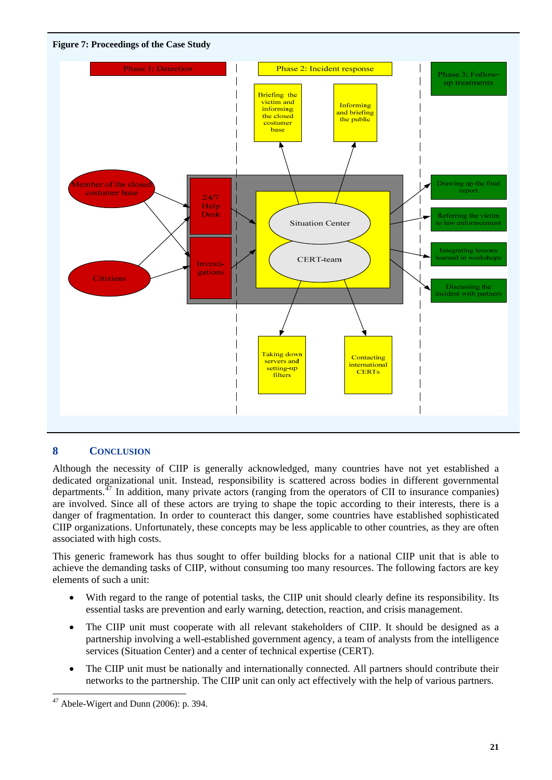<span id="page-26-0"></span>



## **8 CONCLUSION**

Although the necessity of CIIP is generally acknowledged, many countries have not yet established a dedicated organizational unit. Instead, responsibility is scattered across bodies in different governmental departments.<sup> $47$ </sup> In addition, many private actors (ranging from the operators of CII to insurance companies) are involved. Since all of these actors are trying to shape the topic according to their interests, there is a danger of fragmentation. In order to counteract this danger, some countries have established sophisticated CIIP organizations. Unfortunately, these concepts may be less applicable to other countries, as they are often associated with high costs.

This generic framework has thus sought to offer building blocks for a national CIIP unit that is able to achieve the demanding tasks of CIIP, without consuming too many resources. The following factors are key elements of such a unit:

- With regard to the range of potential tasks, the CIIP unit should clearly define its responsibility. Its essential tasks are prevention and early warning, detection, reaction, and crisis management.
- The CIIP unit must cooperate with all relevant stakeholders of CIIP. It should be designed as a partnership involving a well-established government agency, a team of analysts from the intelligence services (Situation Center) and a center of technical expertise (CERT).
- The CIIP unit must be nationally and internationally connected. All partners should contribute their networks to the partnership. The CIIP unit can only act effectively with the help of various partners.

<span id="page-26-1"></span> $47$  Abele-Wigert and Dunn (2006): p. 394.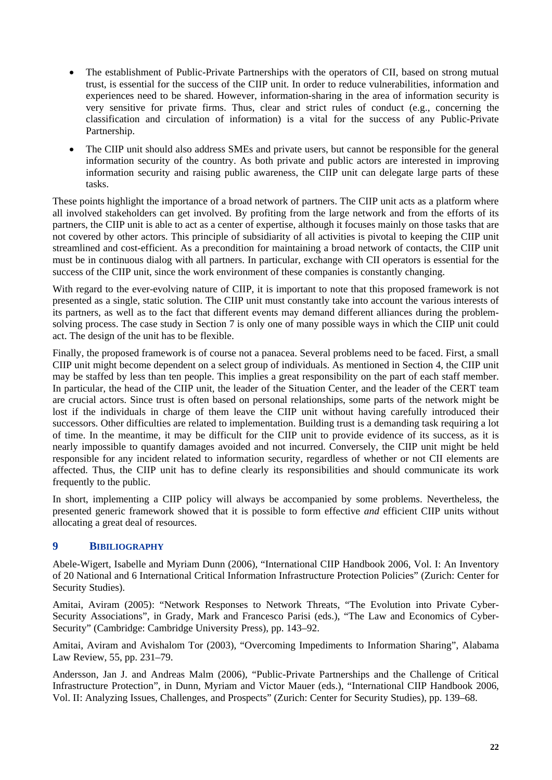- <span id="page-27-0"></span>• The establishment of Public-Private Partnerships with the operators of CII, based on strong mutual trust, is essential for the success of the CIIP unit. In order to reduce vulnerabilities, information and experiences need to be shared. However, information-sharing in the area of information security is very sensitive for private firms. Thus, clear and strict rules of conduct (e.g., concerning the classification and circulation of information) is a vital for the success of any Public-Private Partnership.
- The CIIP unit should also address SMEs and private users, but cannot be responsible for the general information security of the country. As both private and public actors are interested in improving information security and raising public awareness, the CIIP unit can delegate large parts of these tasks.

These points highlight the importance of a broad network of partners. The CIIP unit acts as a platform where all involved stakeholders can get involved. By profiting from the large network and from the efforts of its partners, the CIIP unit is able to act as a center of expertise, although it focuses mainly on those tasks that are not covered by other actors. This principle of subsidiarity of all activities is pivotal to keeping the CIIP unit streamlined and cost-efficient. As a precondition for maintaining a broad network of contacts, the CIIP unit must be in continuous dialog with all partners. In particular, exchange with CII operators is essential for the success of the CIIP unit, since the work environment of these companies is constantly changing.

With regard to the ever-evolving nature of CIIP, it is important to note that this proposed framework is not presented as a single, static solution. The CIIP unit must constantly take into account the various interests of its partners, as well as to the fact that different events may demand different alliances during the problemsolving process. The case study in Section 7 is only one of many possible ways in which the CIIP unit could act. The design of the unit has to be flexible.

Finally, the proposed framework is of course not a panacea. Several problems need to be faced. First, a small CIIP unit might become dependent on a select group of individuals. As mentioned in Section 4, the CIIP unit may be staffed by less than ten people. This implies a great responsibility on the part of each staff member. In particular, the head of the CIIP unit, the leader of the Situation Center, and the leader of the CERT team are crucial actors. Since trust is often based on personal relationships, some parts of the network might be lost if the individuals in charge of them leave the CIIP unit without having carefully introduced their successors. Other difficulties are related to implementation. Building trust is a demanding task requiring a lot of time. In the meantime, it may be difficult for the CIIP unit to provide evidence of its success, as it is nearly impossible to quantify damages avoided and not incurred. Conversely, the CIIP unit might be held responsible for any incident related to information security, regardless of whether or not CII elements are affected. Thus, the CIIP unit has to define clearly its responsibilities and should communicate its work frequently to the public.

In short, implementing a CIIP policy will always be accompanied by some problems. Nevertheless, the presented generic framework showed that it is possible to form effective *and* efficient CIIP units without allocating a great deal of resources.

## **9 BIBILIOGRAPHY**

Abele-Wigert, Isabelle and Myriam Dunn (2006), "International CIIP Handbook 2006, Vol. I: An Inventory of 20 National and 6 International Critical Information Infrastructure Protection Policies" (Zurich: Center for Security Studies).

Amitai, Aviram (2005): "Network Responses to Network Threats, "The Evolution into Private Cyber-Security Associations", in Grady, Mark and Francesco Parisi (eds.), "The Law and Economics of Cyber-Security" (Cambridge: Cambridge University Press), pp. 143–92.

Amitai, Aviram and Avishalom Tor (2003), "Overcoming Impediments to Information Sharing", Alabama Law Review, 55, pp. 231–79.

Andersson, Jan J. and Andreas Malm (2006), "Public-Private Partnerships and the Challenge of Critical Infrastructure Protection", in Dunn, Myriam and Victor Mauer (eds.), "International CIIP Handbook 2006, Vol. II: Analyzing Issues, Challenges, and Prospects" (Zurich: Center for Security Studies), pp. 139–68.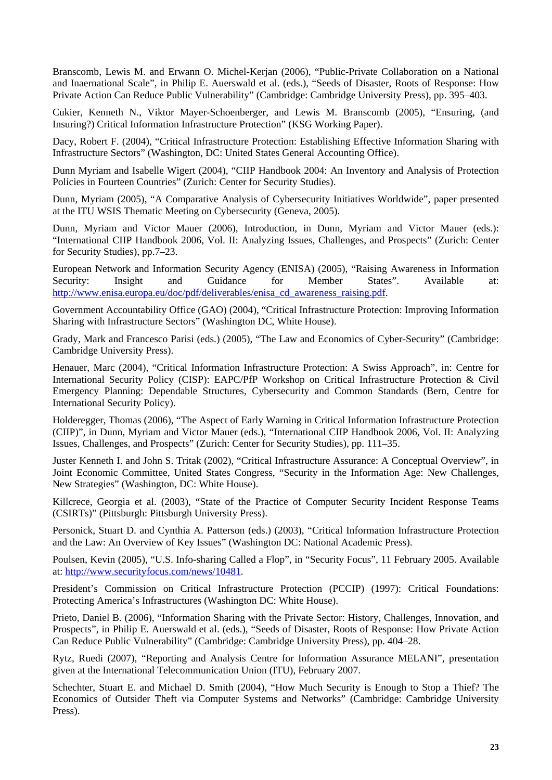Branscomb, Lewis M. and Erwann O. Michel-Kerjan (2006), "Public-Private Collaboration on a National and Inaernational Scale", in Philip E. Auerswald et al. (eds.), "Seeds of Disaster, Roots of Response: How Private Action Can Reduce Public Vulnerability" (Cambridge: Cambridge University Press), pp. 395–403.

Cukier, Kenneth N., Viktor Mayer-Schoenberger, and Lewis M. Branscomb (2005), "Ensuring, (and Insuring?) Critical Information Infrastructure Protection" (KSG Working Paper).

Dacy, Robert F. (2004), "Critical Infrastructure Protection: Establishing Effective Information Sharing with Infrastructure Sectors" (Washington, DC: United States General Accounting Office).

Dunn Myriam and Isabelle Wigert (2004), "CIIP Handbook 2004: An Inventory and Analysis of Protection Policies in Fourteen Countries" (Zurich: Center for Security Studies).

Dunn, Myriam (2005), "A Comparative Analysis of Cybersecurity Initiatives Worldwide", paper presented at the ITU WSIS Thematic Meeting on Cybersecurity (Geneva, 2005).

Dunn, Myriam and Victor Mauer (2006), Introduction, in Dunn, Myriam and Victor Mauer (eds.): "International CIIP Handbook 2006, Vol. II: Analyzing Issues, Challenges, and Prospects" (Zurich: Center for Security Studies), pp.7–23.

European Network and Information Security Agency (ENISA) (2005), "Raising Awareness in Information Security: Insight and Guidance for Member States". Available at: [http://www.enisa.europa.eu/doc/pdf/deliverables/enisa\\_cd\\_awareness\\_raising.pdf.](http://www.enisa.europa.eu/doc/pdf/deliverables/enisa_cd_awareness_raising.pdf)

Government Accountability Office (GAO) (2004), "Critical Infrastructure Protection: Improving Information Sharing with Infrastructure Sectors" (Washington DC, White House).

Grady, Mark and Francesco Parisi (eds.) (2005), "The Law and Economics of Cyber-Security" (Cambridge: Cambridge University Press).

Henauer, Marc (2004), "Critical Information Infrastructure Protection: A Swiss Approach", in: Centre for International Security Policy (CISP): EAPC/PfP Workshop on Critical Infrastructure Protection & Civil Emergency Planning: Dependable Structures, Cybersecurity and Common Standards (Bern, Centre for International Security Policy).

Holderegger, Thomas (2006), "The Aspect of Early Warning in Critical Information Infrastructure Protection (CIIP)", in Dunn, Myriam and Victor Mauer (eds.), "International CIIP Handbook 2006, Vol. II: Analyzing Issues, Challenges, and Prospects" (Zurich: Center for Security Studies), pp. 111–35.

Juster Kenneth I. and John S. Tritak (2002), "Critical Infrastructure Assurance: A Conceptual Overview", in Joint Economic Committee, United States Congress, "Security in the Information Age: New Challenges, New Strategies" (Washington, DC: White House).

Killcrece, Georgia et al. (2003), "State of the Practice of Computer Security Incident Response Teams (CSIRTs)" (Pittsburgh: Pittsburgh University Press).

Personick, Stuart D. and Cynthia A. Patterson (eds.) (2003), "Critical Information Infrastructure Protection and the Law: An Overview of Key Issues" (Washington DC: National Academic Press).

Poulsen, Kevin (2005), "U.S. Info-sharing Called a Flop", in "Security Focus", 11 February 2005. Available at: [http://www.securityfocus.com/news/10481.](http://www.securityfocus.com/news/10481)

President's Commission on Critical Infrastructure Protection (PCCIP) (1997): Critical Foundations: Protecting America's Infrastructures (Washington DC: White House).

Prieto, Daniel B. (2006), "Information Sharing with the Private Sector: History, Challenges, Innovation, and Prospects", in Philip E. Auerswald et al. (eds.), "Seeds of Disaster, Roots of Response: How Private Action Can Reduce Public Vulnerability" (Cambridge: Cambridge University Press), pp. 404–28.

Rytz, Ruedi (2007), "Reporting and Analysis Centre for Information Assurance MELANI", presentation given at the International Telecommunication Union (ITU), February 2007.

Schechter, Stuart E. and Michael D. Smith (2004), "How Much Security is Enough to Stop a Thief? The Economics of Outsider Theft via Computer Systems and Networks" (Cambridge: Cambridge University Press).